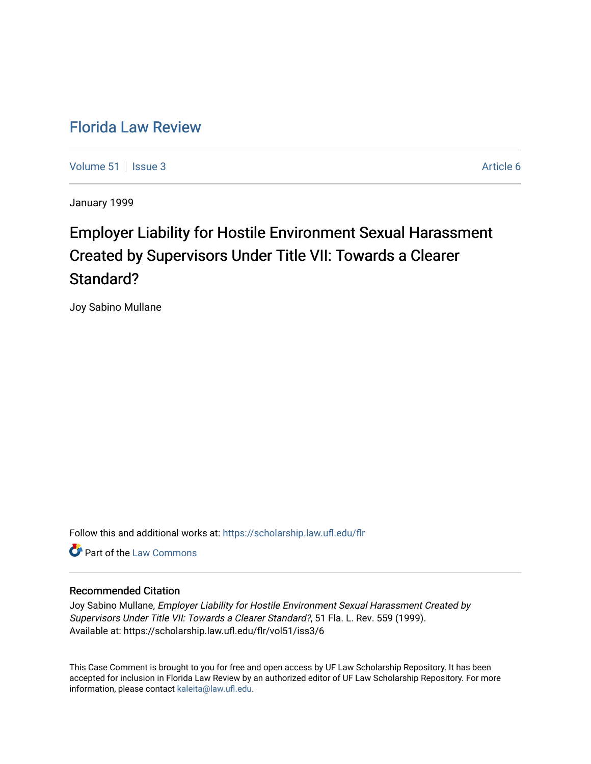# [Florida Law Review](https://scholarship.law.ufl.edu/flr)

[Volume 51](https://scholarship.law.ufl.edu/flr/vol51) | [Issue 3](https://scholarship.law.ufl.edu/flr/vol51/iss3) Article 6

January 1999

# Employer Liability for Hostile Environment Sexual Harassment Created by Supervisors Under Title VII: Towards a Clearer Standard?

Joy Sabino Mullane

Follow this and additional works at: [https://scholarship.law.ufl.edu/flr](https://scholarship.law.ufl.edu/flr?utm_source=scholarship.law.ufl.edu%2Fflr%2Fvol51%2Fiss3%2F6&utm_medium=PDF&utm_campaign=PDFCoverPages)

**C** Part of the [Law Commons](http://network.bepress.com/hgg/discipline/578?utm_source=scholarship.law.ufl.edu%2Fflr%2Fvol51%2Fiss3%2F6&utm_medium=PDF&utm_campaign=PDFCoverPages)

# Recommended Citation

Joy Sabino Mullane, Employer Liability for Hostile Environment Sexual Harassment Created by Supervisors Under Title VII: Towards a Clearer Standard?, 51 Fla. L. Rev. 559 (1999). Available at: https://scholarship.law.ufl.edu/flr/vol51/iss3/6

This Case Comment is brought to you for free and open access by UF Law Scholarship Repository. It has been accepted for inclusion in Florida Law Review by an authorized editor of UF Law Scholarship Repository. For more information, please contact [kaleita@law.ufl.edu.](mailto:kaleita@law.ufl.edu)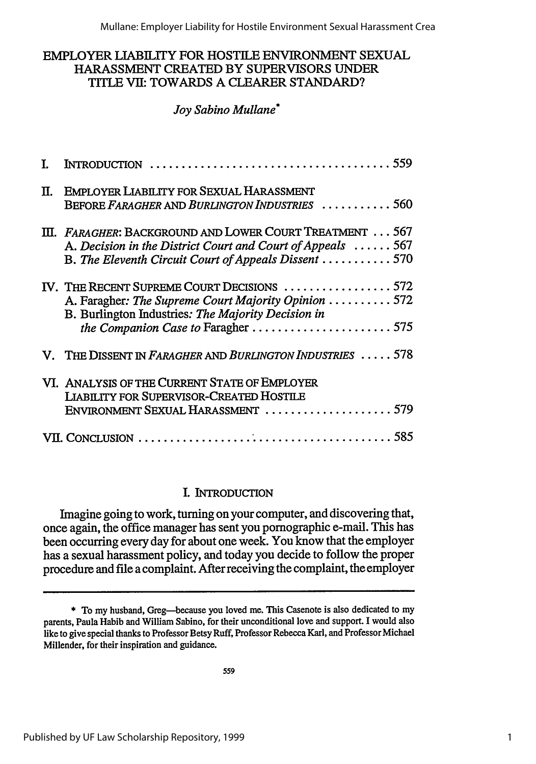Mullane: Employer Liability for Hostile Environment Sexual Harassment Crea

# EMPLOYER LIABILITY FOR HOSTILE ENVIRONMENT SEXUAL HARASSMENT CREATED BY SUPERVISORS UNDER TITLE VII: TOWARDS A CLEARER STANDARD?

# *Joy Sabino Mullane\**

| П. | <b>EMPLOYER LIABILITY FOR SEXUAL HARASSMENT</b><br>BEFORE FARAGHER AND BURLINGTON INDUSTRIES 560                                                                                               |
|----|------------------------------------------------------------------------------------------------------------------------------------------------------------------------------------------------|
|    | III. FARAGHER: BACKGROUND AND LOWER COURT TREATMENT 567<br>A. Decision in the District Court and Court of Appeals  567<br>B. The Eleventh Circuit Court of Appeals Dissent 570                 |
|    | IV. THE RECENT SUPREME COURT DECISIONS 572<br>A. Faragher: The Supreme Court Majority Opinion  572<br>B. Burlington Industries: The Majority Decision in<br>the Companion Case to Faragher 575 |
|    | V. THE DISSENT IN FARAGHER AND BURLINGTON INDUSTRIES  578                                                                                                                                      |
|    | VI. ANALYSIS OF THE CURRENT STATE OF EMPLOYER<br><b>LIABILITY FOR SUPERVISOR-CREATED HOSTILE</b>                                                                                               |
|    |                                                                                                                                                                                                |

# I. INTRODUCTION

Imagine going to work, turning on your computer, and discovering that, once again, the office manager has sent you pornographic e-mail. This has been occurring every day for about one week. You know that the employer has a sexual harassment policy, and today you decide to follow the proper procedure and file a complaint. After receiving the complaint, the employer

<sup>\*</sup> To my husband, Greg-because you loved me. This Casenote is also dedicated to my parents, Paula Habib and William Sabino, for their unconditional love and support. I would also like to give special thanks to Professor Betsy Ruff, Professor Rebecca Karl, and Professor Michael Millender, for their inspiration and guidance.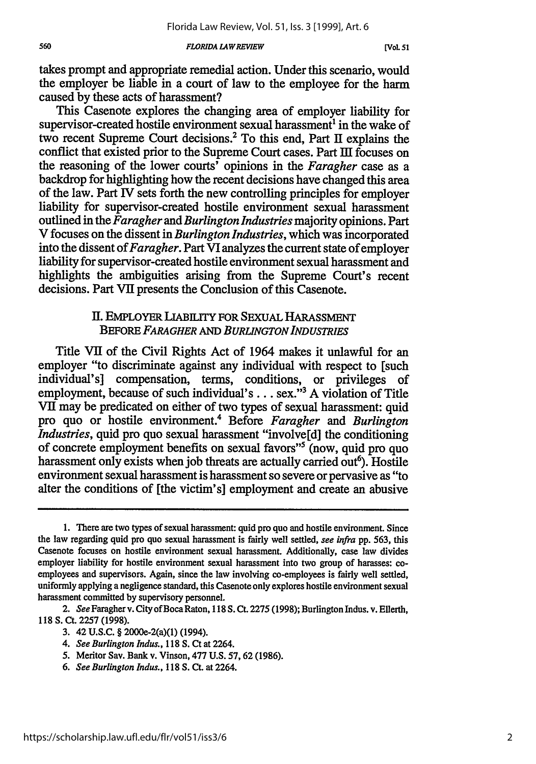*FLORIDA LAW REVIEW*

takes prompt and appropriate remedial action. Under this scenario, would the employer be liable in a court of law to the employee for the harm caused by these acts of harassment?

This Casenote explores the changing area of employer liability for supervisor-created hostile environment sexual harassment' in the wake of two recent Supreme Court decisions.2 To this end, Part II explains the conflict that existed prior to the Supreme Court cases. Part III focuses on the reasoning of the lower courts' opinions in the *Faragher* case as a backdrop for highlighting how the recent decisions have changed this area of the law. Part IV sets forth the new controlling principles for employer liability for supervisor-created hostile environment sexual harassment outlined in the *Faragher and Burlington Industries* majority opinions. Part V focuses on the dissent in *Burlington Industries,* which was incorporated into the dissent of *Faragher.* Part VI analyzes the current state of employer liability for supervisor-created hostile environment sexual harassment and highlights the ambiguities arising from the Supreme Court's recent decisions. Part VII presents the Conclusion of this Casenote.

# **II.** EMPLOYER LiABILITY FOR SEXUAL **HARASSMENT BEFORE FARAGHER AND BURLINGTON INDUSTRIES**

Title VII of the Civil Rights Act of 1964 makes it unlawful for an employer "to discriminate against any individual with respect to [such individual's] compensation, terms, conditions, or privileges of employment, because of such individual's . . . sex."<sup>3</sup> A violation of Title VII may be predicated on either of two types of sexual harassment: quid pro quo or hostile environment.4 Before *Faragher and Burlington Industries*, quid pro quo sexual harassment "involve<sup>[d]</sup> the conditioning of concrete employment benefits on sexual favors"5 (now, quid pro quo harassment only exists when job threats are actually carried out<sup>6</sup>). Hostile environment sexual harassment is harassment so severe or pervasive as "to alter the conditions of [the victim's] employment and create an abusive

- 5. Meritor Say. Bank v. Vinson, 477 U.S. 57,62 (1986).
- *6. See Burlington Indus.,* 118 **S.** Ct. at 2264.

<sup>1.</sup> There are two types of sexual harassment: quid pro quo and hostile environment. Since the law regarding quid pro quo sexual harassment is fairly well settled, see infra pp. 563, this Casenote focuses on hostile environment sexual harassment. Additionally, case law divides employer liability for hostile environment sexual harassment into two group of harasses: coemployees and supervisors. Again, since the law involving co-employees is fairly well settled, uniformly applying a negligence standard, this Casenote only explores hostile environment sexual harassment committed by supervisory personnel.

<sup>2.</sup> See Faragher v. City of Boca Raton, 118 S. Ct. 2275 (1998); Burlington Indus. v. Ellerth, 118 S. Ct. 2257 (1998).

<sup>3. 42</sup> U.S.C. § 2000e-2(a)(1) (1994).

*<sup>4.</sup> See Burlington Indus.,* 118 S. Ct at 2264.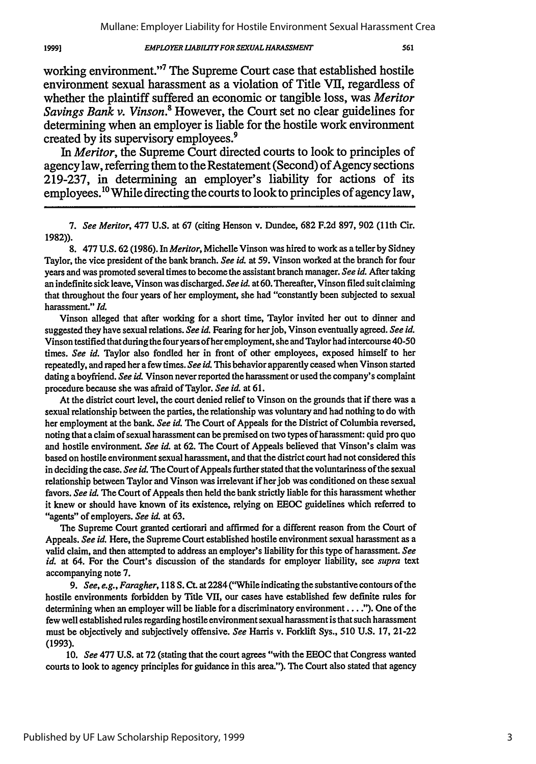#### *EMPLOYER LIABILTI FOR SEXUAL HARASSMENT*

19991

working environment."7 The Supreme Court case that established hostile environment sexual harassment as a violation of Title VII, regardless of whether the plaintiff suffered an economic or tangible loss, was *Meritor Savings Bank v. Vinson.*<sup>8</sup> However, the Court set no clear guidelines for determining when an employer is liable for the hostile work environment created by its supervisory employees.<sup>9</sup>

*In Meritor,* the Supreme Court directed courts to look to principles of agency law, referring them to the Restatement (Second) of Agency sections 219-237, in determining an employer's liability for actions of its employees.<sup>10</sup> While directing the courts to look to principles of agency law.

*7. See Meritor,* 477 U.S. at **67** (citing Henson v. Dundee, **682** F.2d 897, 902 (1lth Cir. **1982)).**

8. 477 U.S. **62** (1986). In *Meritor,* Michelle Vinson was hired to work as a teller by Sidney Taylor, the vice president of the bank branch. *See* id. at 59. Vinson worked at the branch for four years and was promoted several times to become the assistant branch manager. *See id.* After taking an indefinite sick leave, Vinson was discharged. *See* id. at 60. Thereafter, Vinson filed suit claiming that throughout the four years of her employment, she had "constantly been subjected to sexual harassment." *Id.*

Vinson alleged that after working for a short time, Taylor invited her out to dinner and suggested they have sexual relations. *See* **id.** Fearing for her job, Vinson eventually agreed. *See id.* Vinson testified that during the fouryears of her employment, she and Taylor had intercourse 40-50 times. *See id.* Taylor also fondled her in front of other employees, exposed himself to her repeatedly, and raped her a few times. *See id.* This behavior apparently ceased when Vinson started dating a boyfriend. *See* **id.** Vinson never reported the harassment or used the company's complaint procedure because she was afraid of Taylor. *See id.* at 61.

At the district court level, the court denied relief to Vinson on the grounds that if there was a sexual relationship between the parties, the relationship was voluntary and had nothing to do with her employment at the bank. *See id.* The Court of Appeals for the District of Columbia reversed, noting that a claim of sexual harassment can be premised on two types of harassment: quid pro quo and hostile environment. *See id.* at **62.** The Court of Appeals believed that Vinson's claim was based on hostile environment sexual harassment, and that the district court had not considered this in deciding the case. *See id.* The Court of Appeals further stated that the voluntariness of the sexual relationship between Taylor and Vinson was irrelevant if her job was conditioned on these sexual favors. *See id.* The Court of Appeals then held the bank strictly liable for this harassment whether it knew or should have known of its existence, relying on EEOC guidelines which referred to "agents" of employers. See *id.* at 63.

The Supreme Court granted certiorari and affirmed for a different reason from the Court of Appeals. *See id.* Here, the Supreme Court established hostile environment sexual harassment as a valid claim, and then attempted to address an employer's liability for this type of harassment. *See id.* at 64. For the Court's discussion of the standards for employer liability, see *supra* text accompanying note 7.

*9. See, e.g., Faragher,* 118 **S. Ct.** at2284 ("While indicating the substantive contours of the hostile environments forbidden by Title VII, our cases have established few definite rules for determining when an employer will be liable for a discriminatory environment... **"').** One of the few well established rules regarding hostile environment sexual harassment is that such harassment must be objectively and subjectively offensive. *See* Harris v. Forklift Sys., 510 **U.S.** 17, 21-22 (1993).

10. *See* 477 **U.S.** at 72 (stating that the court agrees "with the **EEOC** that Congress wanted courts to look to agency principles for guidance in this area."). The Court also stated that agency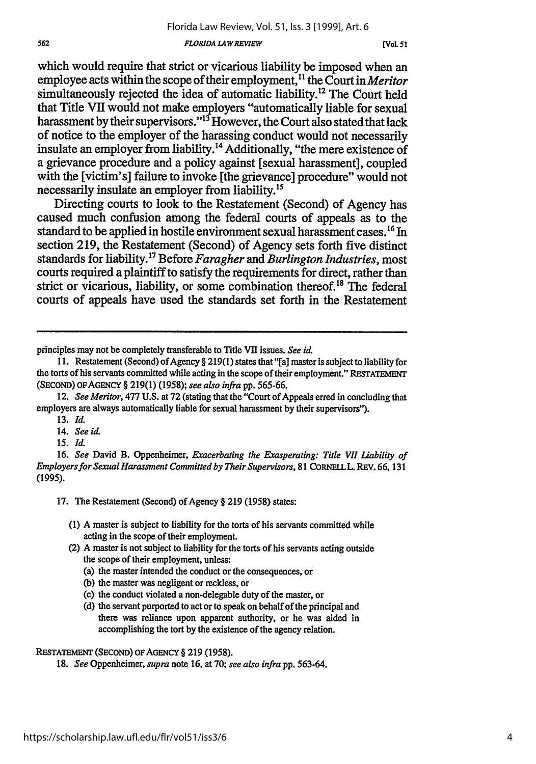#### *FLORIDA LAW REVIEW*

which would require that strict or vicarious liability be imposed when an employee acts within the scope of their employment,<sup>11</sup> the Court in *Meritor* simultaneously rejected the idea of automatic liability.<sup>12</sup> The Court held that Title VII would not make employers "automatically liable for sexual harassment by their supervisors."<sup>13</sup> However, the Court also stated that lack of notice to the employer of the harassing conduct would not necessarily insulate an employer from liability.<sup>14</sup> Additionally, "the mere existence of a grievance procedure and a policy against [sexual harassment], coupled with the [victim's] failure to invoke [the grievance] procedure" would not necessarily insulate an employer from liability.<sup>15</sup>

Directing courts to look to the Restatement (Second) of Agency has caused much confusion among the federal courts of appeals as to the standard to be applied in hostile environment sexual harassment cases.<sup>16</sup> In section **219,** the Restatement (Second) of Agency sets forth five distinct standards for liability. **17** Before *Faragher and Burlington Industries,* most courts required a plaintiff to satisfy the requirements for direct, rather than strict or vicarious, liability, or some combination thereof.<sup>18</sup> The federal courts of appeals have used the standards set forth in the Restatement

principles may not be completely transferable to Title VII issues. *See id.*

562

14. *See id.*

*15. Id.*

16. *See* David B. Oppenheimer, *Exacerbating the Exasperating: Title VII Liability of Employers for Sexual Harassment Committed by Their Supervisors,* <sup>81</sup>**CORNELLL. REV.** 66, 131 (1995).

17. The Restatement (Second) of Agency § **219** (1958) states:

- (1) A master is subject to liability for the torts of his servants committed while acting in the scope of their employment.
- (2) A master is not subject to liability for the torts of his servants acting outside the scope of their employment, unless:
	- (a) the master intended the conduct or the consequences, or
	- (b) the master was negligent or reckless, or
	- (c) the conduct violated a non-delegable duty of the master, or
	- (d) the servant purported to act or to speak on behalf of the principal and there was reliance upon apparent authority, or he was aided in accomplishing the tort by the existence of the agency relation.

**RESTATEMENT** (SECOND) **oFAGENCY** § 219 (1958).

18. *See* Oppenheimer, *supra* note 16, at 70; *see also infra* pp. 563-64.

<sup>11.</sup> Restatement (Second) of Agency § 219(1) states that "[a] master is subject to liability for the torts of his servants committed while acting in the scope of their employment." **RESTATEMENT (SECOND) OF AGENCY** § 219(1) (1958); *see also infra* pp. 565-66.

<sup>12.</sup> *See Meritor,* 477 U.S. at **72** (stating that the "Court of Appeals **erred** in concluding that employers are always automatically liable for sexual harassment by their supervisors").

**<sup>13.</sup>** *Id.*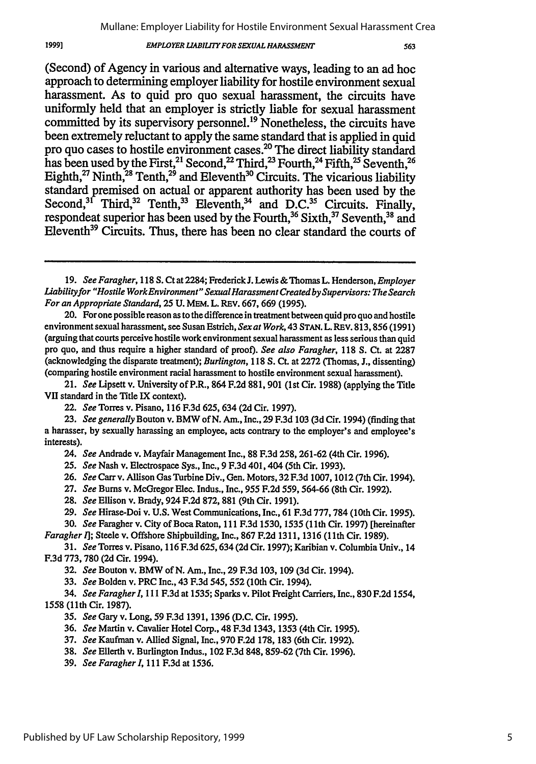#### **EMPLOYER LIABILITY FOR SEXUAL HARASSMENT**

(Second) of Agency in various and alternative ways, leading to an ad **hoc** approach to determining employer liability for hostile environment sexual harassment. As to quid pro quo sexual harassment, the circuits have uniformly held that an employer is strictly liable for sexual harassment committed **by** its supervisory personnel.19 Nonetheless, the circuits have been extremely reluctant to apply the same standard that is applied in quid pro quo cases to hostile environment cases.<sup>20</sup> The direct liability standard has been used by the First,<sup>21</sup> Second,<sup>22</sup> Third,<sup>23</sup> Fourth,<sup>24</sup> Fifth,<sup>25</sup> Seventh,<sup>26</sup> Eighth, $^{27}$  Ninth, $^{28}$  Tenth, $^{29}$  and Eleventh<sup>30</sup> Circuits. The vicarious liability standard premised on actual or apparent authority has been used **by** the Second,<sup>31</sup> Third,<sup>32</sup> Tenth,<sup>33</sup> Eleventh,<sup>34</sup> and D.C.<sup>35</sup> Circuits. Finally, respondeat superior has been used by the Fourth,<sup>36</sup> Sixth,<sup>37</sup> Seventh,<sup>38</sup> and Eleventh<sup>39</sup> Circuits. Thus, there has been no clear standard the courts of

22. *See* Torres v. Pisano, 116 F.3d 625, 634 **(2d** Cir. 1997).

24. *See* Andrade v. Mayfair Management Inc., **88 F.3d 258, 261-62** (4th Cir. **1996).**

25. *See* Nash v. Electrospace Sys., Inc., 9 **F.3d** 401,404 (5th Cir. **1993).**

**26.** *See* Carr v. Allison Gas Turbine Div., Gen. Motors, **32 F.3d 1007, 1012** (7th Cir. 1994).

**27.** *See* Bums v. McGregor Elec. Indus., Inc., *955* **F.2d 559,** 564-66 (8th Cir. **1992).**

- **28.** *See* Ellison v. Brady, 924 **F.2d 872, 881** (9th Cir. **1991).**
- **29.** *See* Hirase-Doi v. **U.S.** West Communications, Inc., **61 F.3d 777,784** (10th Cir. **1995).**

**30.** *See* Faragher v. City of Boca Raton, **111 F.3d 1530, 1535 (11th** Cir. **1997)** [hereinafter *Faragher I];* Steele v. Offshore Shipbuilding, Inc., **867 F.2d 1311, 1316 (11th** Cir. **1989).**

**31.** *See* Torres v. Pisano, **116 F.3d** 625, 634 **(2d** Cir. **1997);** Karibian v. Columbia Univ., 14 **F.3d 773, 780 (2d** Cir. 1994).

**32.** *See* Bouton v. BMW of N. Am., Inc., **29 F.3d 103, 109 (3d** Cir. 1994).

**33.** *See* Bolden v. PRC Inc., 43 **F.3d** *545,* **552** (10th Cir. 1994).

34. *See Faragherl,* **111 F.3d** at 1535; Sparks v. Pilot Freight Carriers, Inc., **830 F.2d** 1554, 1558 **(11th** Cir. 1987).

35. *See* Gary v. Long, 59 F.3d 1391, 1396 (D.C. Cir. 1995).

36. *See* Martin v. Cavalier Hotel Corp., 48 F.3d 1343, 1353 (4th Cir. 1995).

- 37. *See* Kaufman v. Allied Signal, Inc., 970 F.2d 178, 183 (6th Cir. 1992).
- 38. *See* Ellerth v. Burlington Indus., 102 F.3d 848, 859-62 (7th Cir. 1996).
- **39.** *See Faragherl,* 111 F.3d at 1536.

*<sup>19.</sup> See Faragher,* 118 S. Ct at 2284; Frederick **J.** Lewis & Thomas L. Henderson, *Employer Liabilityfor "Hostile WorkEnvironment" Sexual Harassment Created by Supervisors: The Search For an Appropriate Standard,* **25 U.** MEM. L. REV. 667, 669 (1995).

<sup>20.</sup> For one possible reason as to the difference in treatment between quid pro quo and hostile environment sexual harassment, see Susan Estrich, *Sex at Work,* 43 **STAN.** L. REv. 813,856 (1991) (arguing that courts perceive hostile work environment sexual harassment as less serious than quid pro quo, and thus require a higher standard of proof). *See also Faragher,* 118 **S.** Ct. at 2287 (acknowledging the disparate treatment); *Burlington,* 118 **S. Ct.** at **2272** (Thomas, J., dissenting) (comparing hostile environment racial harassment to hostile environment sexual harassment).

<sup>21.</sup> *See* Lipsett v. University of P.R., 864 F.2d 881, 901 (1st Cir. 1988) (applying the Title VII standard in the Title IX context).

**<sup>23.</sup>** *See generally* Bouton v. BMW of N. Am., Inc., **29** F.3d **103** (3d Cir. 1994) (finding that a harasser, **by** sexually harassing an employee, acts contrary to the employer's and employee's interests).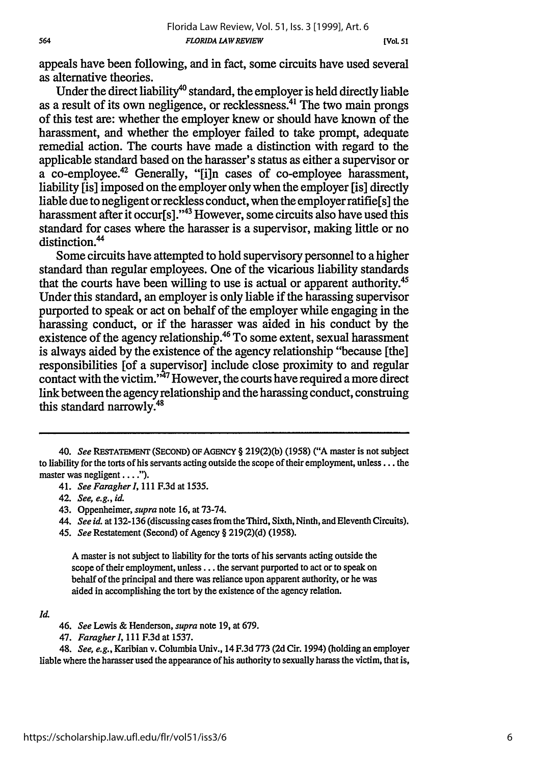appeals have been following, and in fact, some circuits have used several as alternative theories.

Under the direct liability<sup>40</sup> standard, the employer is held directly liable as a result of its own negligence, or recklessness.<sup>41</sup> The two main prongs of this test are: whether the employer knew or should have known of the harassment, and whether the employer failed to take prompt, adequate remedial action. The courts have made a distinction with regard to the applicable standard based on the harasser's status as either a supervisor or a co-employee.42 Generally, "[iln cases of co-employee harassment, liability [is] imposed on the employer only when the employer [is] directly liable due to negligent or reckless conduct, when the employer ratifie[s] the harassment after it occur[s]."<sup>43</sup> However, some circuits also have used this standard for cases where the harasser is a supervisor, making little or no distinction.<sup>44</sup>

Some circuits have attempted to hold supervisory personnel to a higher standard than regular employees. One of the vicarious liability standards that the courts have been willing to use is actual or apparent authority.<sup>4</sup> Under this standard, an employer is only liable if the harassing supervisor purported to speak or act on behalf of the employer while engaging in the harassing conduct, or if the harasser was aided in his conduct by the existence of the agency relationship.<sup>46</sup> To some extent, sexual harassment is always aided by the existence of the agency relationship "because [the] responsibilities [of a supervisor] include close proximity to and regular contact with the victim."'47 However, the courts have required a more direct link between the agency relationship and the harassing conduct, construing this standard narrowly.<sup>48</sup>

45. *See* Restatement (Second) of Agency § 219(2)(d) (1958).

A master is not subject to liability for the torts of his servants acting outside the scope of their employment, unless **...** the servant purported to act or to speak on behalf of the principal and there was reliance upon apparent authority, or he was aided in accomplishing the tort by the existence of the agency relation.

564

48. *See, e.g.,* Karibian v. Columbia Univ., 14 F.3d 773 **(2d** Cir. 1994) (holding an employer liable where the harasser used the appearance of his authority to sexually harass the victim, that is,

<sup>40.</sup> *See* **RESTATEMENT (SECOND)** OF **AGENCY** § 219(2)(b) (1958) ("A master is not subject to liability for the torts of his servants acting outside the scope of their employment, unless... the master was negligent **.... ).**

<sup>41.</sup> See Faragher I, 111 F.3d at 1535.

<sup>42.</sup> *See, e.g., id.*

<sup>43.</sup> Oppenheimer, *supra* note 16, at 73-74.

*<sup>44.</sup> See id.* at 132-136 (discussing cases from theThird, Sixth, Ninth, and Eleventh Circuits).

**Id.**

<sup>46.</sup> *See* Lewis & Henderson, *supra* note 19, at 679.

<sup>47.</sup> *Faragherl,* 111 F.3dat 1537.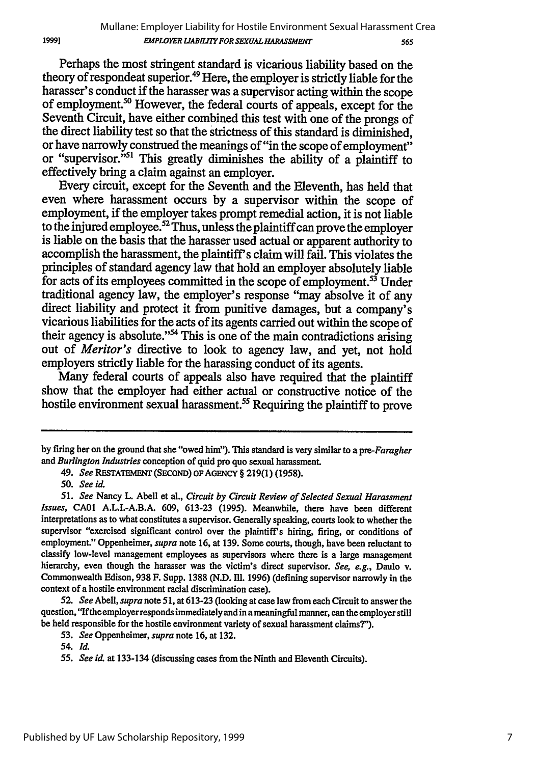Perhaps the most stringent standard is vicarious liability based on the theory of respondeat superior.49 Here, the employer is strictly liable for the harasser's conduct if the harasser was a supervisor acting within the scope of employment."0 However, the federal courts of appeals, except for the Seventh Circuit, have either combined this test with one of the prongs of the direct liability test so that the strictness of this standard is diminished, or have narrowly construed the meanings of "in the scope of employment" or "supervisor."<sup>51</sup> This greatly diminishes the ability of a plaintiff to effectively bring a claim against an employer.

Every circuit, except for the Seventh and the Eleventh, has held that even where harassment occurs by a supervisor within the scope of employment, if the employer takes prompt remedial action, it is not liable to the injured employee.<sup>52</sup> Thus, unless the plaintiff can prove the employer is liable on the basis that the harasser used actual or apparent authority to accomplish the harassment, the plaintiff's claim will fail. This violates the principles of standard agency law that hold an employer absolutely liable for acts of its employees committed in the scope of employment.<sup>53</sup> Under traditional agency law, the employer's response "may absolve it of any direct liability and protect it from punitive damages, but a company's vicarious liabilities for the acts of its agents carried out within the scope of their agency is absolute."<sup>54</sup> This is one of the main contradictions arising out of *Meritor's* directive to look to agency law, and yet, not hold employers strictly liable for the harassing conduct of its agents.

Many federal courts of appeals also have required that the plaintiff show that the employer had either actual or constructive notice of the hostile environment sexual harassment.<sup>55</sup> Requiring the plaintiff to prove

1999]

*52. See Abell, supra note* **51,** at 613-23 (looking at case law from each Circuit to answer the question, 'Ifthe employer responds immediately and in a meaningful manner, can the employer still be held responsible for the hostile environment variety of sexual harassment claims?").

by firing her on the ground that she "owed him"). This standard is very similar to a *pre-Faragher and Burlington Industries* conception of quid pro quo sexual harassment.

<sup>49.</sup> *See* RESTATEMENT (SECOND) OF **AGENCY** § 219(1) (1958).

*<sup>50.</sup> See id.*

*<sup>51.</sup> See* Nancy L. Abell et al., *Circuit by Circuit Review of Selected Sexual Harassment Issues,* CA01 A.L.1.-A.B.A. 609, 613-23 (1995). Meanwhile, there have been different interpretations as to what constitutes a supervisor. Generally speaking, courts look to whether the supervisor "exercised significant control over the plaintiff's hiring, firing, or conditions of employment." Oppenheimer, *supra* note 16, at 139. Some courts, though, have been reluctant to classify low-level management employees as supervisors where there is a large management hierarchy, even though the harasser was the victim's direct supervisor. *See, e.g.,* Daulo v. Commonwealth Edison, 938 F. Supp. 1388 (N.D. Ill. 1996) (defining supervisor narrowly in the context of a hostile environment racial discrimination case).

*<sup>53.</sup> See* Oppenheimer, *supra* note 16, at 132.

*<sup>54.</sup> Id.*

<sup>55.</sup> See id. at 133-134 (discussing cases from the Ninth and Eleventh Circuits).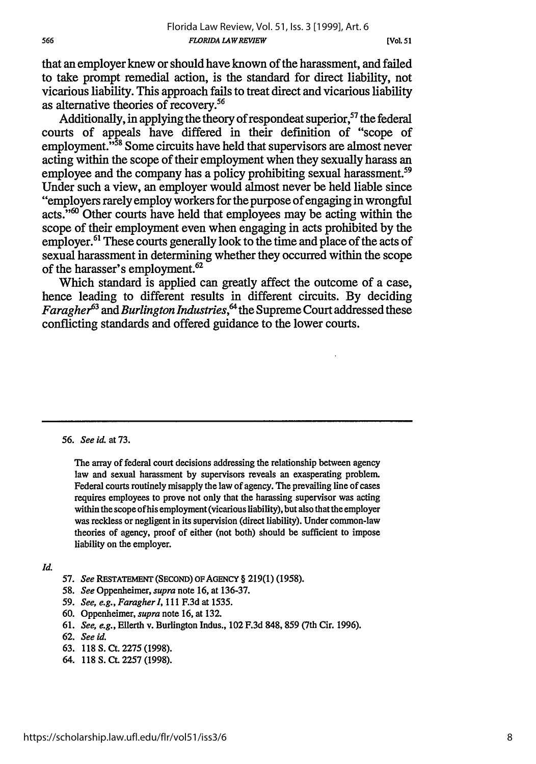that an employer knew or should have known of the harassment, and failed to take prompt remedial action, is the standard for direct liability, not vicarious liability. This approach fails to treat direct and vicarious liability as alternative theories of recovery.56

Additionally, in applying the theory of respondeat superior,  $57$  the federal courts of appeals have differed in their definition of "scope of employment.<sup>558</sup> Some circuits have held that supervisors are almost never acting within the scope of their employment when they sexually harass an employee and the company has a policy prohibiting sexual harassment.<sup>59</sup> Under such a view, an employer would almost never be held liable since "employers rarely employ workers for the purpose of engaging in wrongful acts."<sup>60</sup> Other courts have held that employees may be acting within the scope of their employment even when engaging in acts prohibited by the employer.<sup>61</sup> These courts generally look to the time and place of the acts of sexual harassment in determining whether they occurred within the scope of the harasser's employment. $62$ 

Which standard is applied can greatly affect the outcome of a case, hence leading to different results in different circuits. By deciding *Faragher63 and Burlington Industries, the* Supreme Court addressed these conflicting standards and offered guidance to the lower courts.

*56. See id.* at 73.

The array of federal court decisions addressing the relationship between agency law and sexual harassment by supervisors reveals an exasperating problem. Federal courts routinely misapply the law of agency. The prevailing line of cases requires employees to prove not only that the harassing supervisor was acting within the scope of his employment (vicarious liability), but also that the employer was reckless or negligent in its supervision (direct liability). Under common-law theories of agency, proof of either (not both) should be sufficient to impose liability on the employer.

*Id.*

- 57. *See* **REsTATEMENT (SECOND)** OFAGENCY **§** 219(1) **(1958).**
- 58. *See* Oppenheimer, *supra* note 16, at 136-37.
- 59. *See, e.g., Faragherl,* 111 F.3d at **1535.**
- 60. Oppenheimer, *supra* note 16, at 132.
- 61. *See, e.g.,* Ellerth v. Burlington Indus., 102 F.3d 848, 859 (7th Cir. 1996).
- **62.** *See id.*
- 63. 118 S. Ct. 2275 (1998).
- 64. 118 S. Ct. 2257 (1998).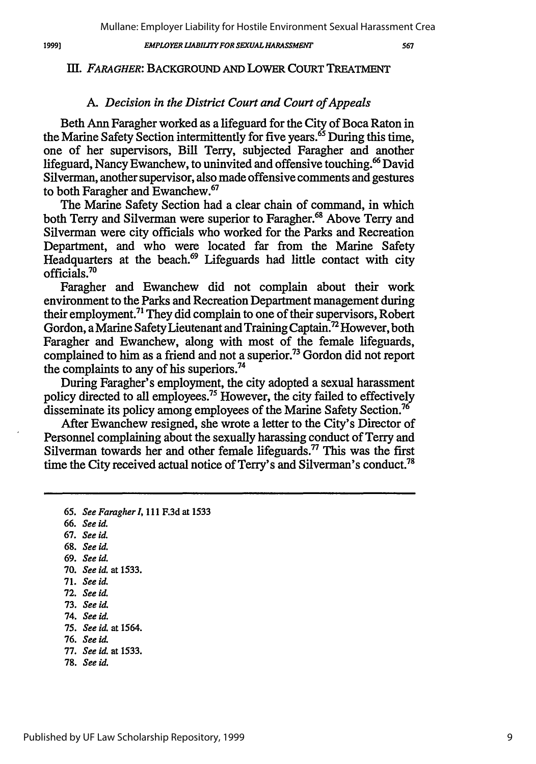19991

### *EMPLOYER LIABILITY FOR SEXUAL HARASSMENT*

567

## *Ill. FARAGHER:* BACKGROUND AND LOWER COURT TREATMENT

# *A. Decision in the District Court and Court of Appeals*

Beth Ann Faragher worked as a lifeguard for the City of Boca Raton in the Marine Safety Section intermittently for five years.<sup>65</sup> During this time, one of her supervisors, Bill Terry, subjected Faragher and another lifeguard, Nancy Ewanchew, to uninvited and offensive touching.<sup>66</sup> David Silverman, another supervisor, also made offensive comments and gestures to both Faragher and Ewanchew.67

The Marine Safety Section had a clear chain of command, in which both Terry and Silverman were superior to Faragher.<sup>68</sup> Above Terry and Silverman were city officials who worked for the Parks and Recreation Department, and who were located far from the Marine Safety Headquarters at the beach.<sup>69</sup> Lifeguards had little contact with city officials.70

Faragher and Ewanchew did not complain about their work environment to the Parks and Recreation Department management during their employment.<sup>71</sup> They did complain to one of their supervisors, Robert Gordon, a Marine Safety Lieutenant and Training Captain.72 However, both Faragher and Ewanchew, along with most of the female lifeguards, complained to him as a friend and not a superior.<sup>73</sup> Gordon did not report the complaints to any of his superiors.<sup>74</sup>

During Faragher's employment, the city adopted a sexual harassment policy directed to all employees.<sup>75</sup> However, the city failed to effectively disseminate its policy among employees of the Marine Safety Section.<sup>76</sup>

After Ewanchew resigned, she wrote a letter to the City's Director of Personnel complaining about the sexually harassing conduct of Terry and Silverman towards her and other female lifeguards.<sup>77</sup> This was the first time the City received actual notice of Terry's and Silverman's conduct.<sup>78</sup>

66. *See id.*

67. *See id.*

**68.** *See id.*

- 69. *See id.*
- 70. *See id.* at 1533.
- 71. *See id.*
- **72.** *See id.*
- 73. *See id.*
- 74. *See id.*
- 75. *See id. at* 1564.
- 76. *See id.*
- 77. *See id.* at 1533.
- **78.** *See id.*

<sup>65.</sup> *See Faragherl,* 111 F.3d at 1533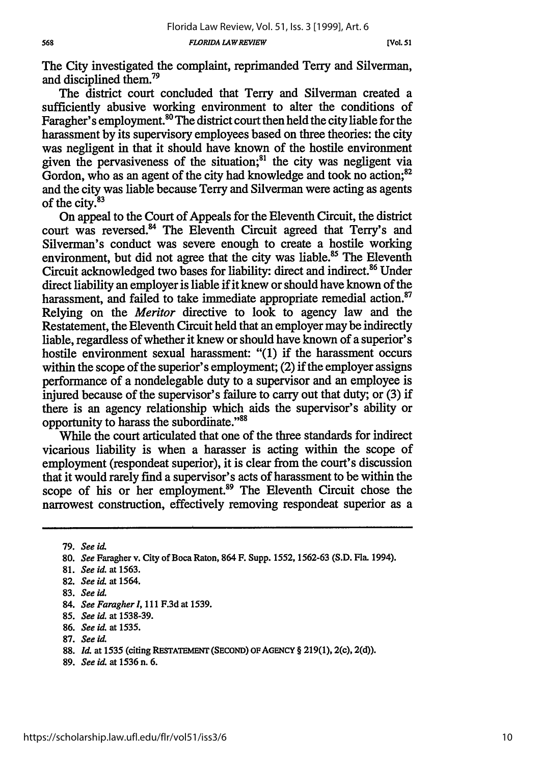**[Vol. 51**

The City investigated the complaint, reprimanded Terry and Silverman, and disciplined them.79

The district court concluded that Terry and Silverman created a sufficiently abusive working environment to alter the conditions of Faragher's employment.<sup>80</sup> The district court then held the city liable for the harassment by its supervisory employees based on three theories: the city was negligent in that it should have known of the hostile environment given the pervasiveness of the situation; $^{81}$  the city was negligent via Gordon, who as an agent of the city had knowledge and took no action;<sup>82</sup> and the city was liable because Terry and Silverman were acting as agents of the city.<sup>83</sup>

On appeal to the Court of Appeals for the Eleventh Circuit, the district court was reversed.<sup>84</sup> The Eleventh Circuit agreed that Terry's and Silverman's conduct was severe enough to create a hostile working environment, but did not agree that the city was liable.<sup>85</sup> The Eleventh Circuit acknowledged two bases for liability: direct and indirect.86 Under direct liability an employer is liable if it knew or should have known of the harassment, and failed to take immediate appropriate remedial action.<sup>87</sup> Relying on the *Meritor* directive to look to agency law and the Restatement, the Eleventh Circuit held that an employer may be indirectly liable, regardless of whether it knew or should have known of a superior's hostile environment sexual harassment: "(1) if the harassment occurs within the scope of the superior's employment; (2) if the employer assigns performance of a nondelegable duty to a supervisor and an employee is injured because of the supervisor's failure to carry out that duty; or (3) if there is an agency relationship which aids the supervisor's ability or opportunity to harass the subordinate."<sup>88</sup>

While the court articulated that one of the three standards for indirect vicarious liability is when a harasser is acting within the scope of employment (respondeat superior), it is clear from the court's discussion that it would rarely find a supervisor's acts of harassment to be within the scope of his or her employment.<sup>89</sup> The Eleventh Circuit chose the narrowest construction, effectively removing respondeat superior as a

- **86.** *See i* at **1535.**
- **87.** *See U*

**89.** *See id.* at **1536** n. **6.**

**<sup>79.</sup>** *See id.*

**<sup>80.</sup>** *See* Faragher **v. City** of Boca Raton, 864 F. Supp. **1552, 1562-63 (S.D.** Fla. 1994).

**<sup>81.</sup>** *See id.* at **1563.**

**<sup>82.</sup>** *See id.* at 1564.

**<sup>83.</sup>** *See* **id.**

<sup>84.</sup> *See Faragher I,* **111 F.3d** at **1539.**

**<sup>85.</sup>** *See id.* at **1538-39.**

<sup>88.</sup> *Id.* at 1535 (citing RESTATEMENT (SECOND) OF AGENCY § 219(1), 2(c), 2(d)).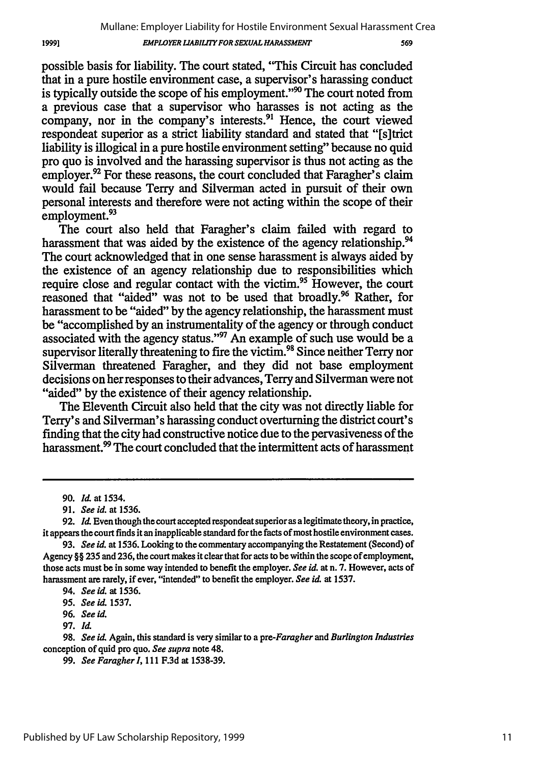569

possible basis for liability. The court stated, "This Circuit has concluded that in a pure hostile environment case, a supervisor's harassing conduct is typically outside the scope of his employment." $90$  The court noted from a previous case that a supervisor who harasses is not acting as the company, nor in the company's interests.<sup>91</sup> Hence, the court viewed respondeat superior as a strict liability standard and stated that "[s]trict liability is illogical in a pure hostile environment setting" because no quid pro quo is involved and the harassing supervisor is thus not acting as the employer. $^{92}$  For these reasons, the court concluded that Faragher's claim would fail because Terry and Silverman acted in pursuit of their own personal interests and therefore were not acting within the scope of their employment.<sup>93</sup>

The court also held that Faragher's claim failed with regard to harassment that was aided by the existence of the agency relationship.<sup>94</sup> The court acknowledged that in one sense harassment is always aided by the existence of an agency relationship due to responsibilities which require close and regular contact with the victim.<sup>95</sup> However, the court reasoned that "aided" was not to be used that broadly.<sup>96</sup> Rather, for harassment to be "aided" by the agency relationship, the harassment must be "accomplished by an instrumentality of the agency or through conduct associated with the agency status."<sup>97</sup> An example of such use would be a supervisor literally threatening to fire the victim.<sup>98</sup> Since neither Terry nor Silverman threatened Faragher, and they did not base employment decisions on her responses to their advances, Terry and Silverman were not "aided" by the existence of their agency relationship.

The Eleventh Circuit also held that the city was not directly liable for Terry's and Silverman's harassing conduct overturning the district court's finding that the city had constructive notice due to the pervasiveness of the harassment.<sup>99</sup> The court concluded that the intermittent acts of harassment

95. *See* **id** 1537.

**96.** *See id.*

97. **Id**

98. *See id* Again, this standard is very similar to a *pre-Faragher and Burlington Industries* conception of quid pro quo. *See supra* note 48.

99. *SeeFaragherl,* 111 F.3d at 1538-39.

**<sup>90.</sup>** *kd* at 1534.

**<sup>91.</sup>** *See id.* at 1536.

**<sup>92.</sup>** *d* Even though the court accepted respondeat superior as a legitimate theory, in practice, it appears the court finds it an inapplicable standard for the facts of most hostile environment cases.

*<sup>93.</sup> See id.* at **1536.** Looking to the commentary accompanying the Restatement (Second) of Agency §§ **235** and **236,** the court makes it clear that for acts to be within the scope of employment, those acts must be in some way intended to benefit the employer. *See id.* at n. 7. However, acts of harassment are rarely, if ever, "intended" to benefit the employer. *See id.* at 1537.

<sup>94.</sup> *See id.* at 1536.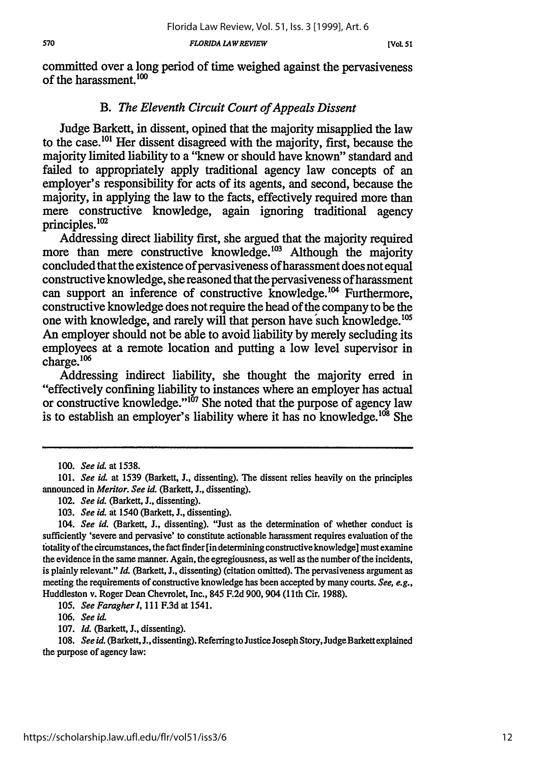committed over a long period of time weighed against the pervasiveness of the harassment.<sup>100</sup>

# B. *The Eleventh Circuit Court of Appeals Dissent*

Judge Barkett, in dissent, opined that the majority misapplied the law to the case.<sup>101</sup> Her dissent disagreed with the majority, first, because the majority limited liability to a "knew or should have known" standard and failed to appropriately apply traditional agency law concepts of an employer's responsibility for acts of its agents, and second, because the majority, in applying the law to the facts, effectively required more than mere constructive knowledge, again ignoring traditional agency principles.<sup>102</sup>

Addressing direct liability first, she argued that the majority required more than mere constructive knowledge.<sup>103</sup> Although the majority concluded that the existence of pervasiveness of harassment does not equal constructive knowledge, she reasoned that the pervasiveness of harassment can support an inference of constructive knowledge.<sup>104</sup> Furthermore, constructive knowledge does not require the head of the company to be the one with knowledge, and rarely will that person have such knowledge.<sup>105</sup> An employer should not be able to avoid liability by merely secluding its employees at a remote location and putting a low level supervisor in charge.<sup>106</sup>

Addressing indirect liability, she thought the majority erred in "effectively confining liability to instances where an employer has actual or constructive knowledge."<sup>107</sup> She noted that the purpose of agency law is to establish an employer's liability where it has no knowledge.<sup>108</sup> She

105. *See Faragherl,* 111 F.3d at 1541.

106. *See* id.

*<sup>100.</sup> See id.* at 1538.

<sup>101.</sup> *See* id. at 1539 (Barkett, J., dissenting). The dissent relies heavily on the principles announced in *Meritor. See id.* (Barkett, J., dissenting).

<sup>102.</sup> *See id.* (Barkett, J., dissenting).

<sup>103.</sup> *See id.* at 1540 (Barkett, **J.,** dissenting).

*<sup>104.</sup> See id.* (Barkett, J., dissenting). "Just as the determination of whether conduct is sufficiently 'severe and pervasive' to constitute actionable harassment requires evaluation of the totality of the circumstances, the fact finder [in determining constructive knowledge] must examine the evidence in the same manner. Again, the egregiousness, as well as the number of the incidents, is plainly relevant." *Id.* (Barkett, **J.,** dissenting) (citation omitted). The pervasiveness argument as meeting the requirements of constructive knowledge has been accepted by many courts. *See, e.g.,* Huddleston v. Roger Dean Chevrolet, Inc., 845 F.2d 900, 904 (11th Cir. 1988).

**<sup>107.</sup>** *Id.* (Barkett, J., dissenting).

<sup>108.</sup> *See id.* (Barkett, J., dissenting). Referring to Justice Joseph Story, Judge Barkett explained the purpose of agency law: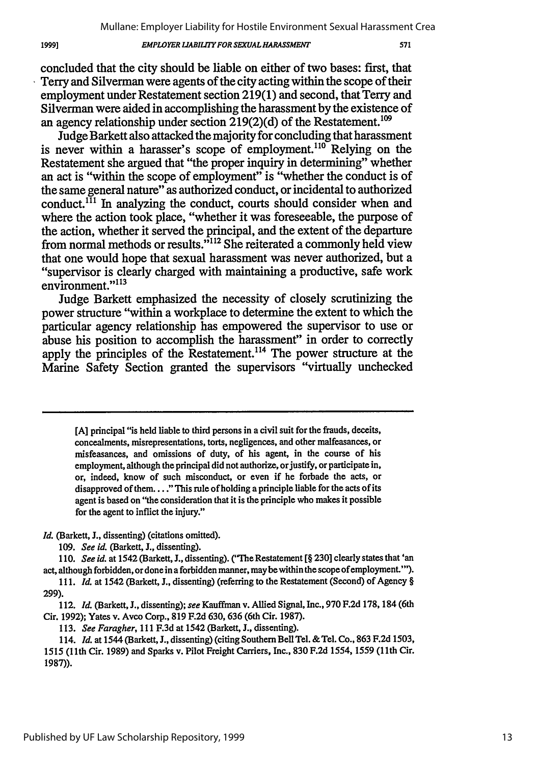#### *EMPLOYER LIABILITY FOR SEXUALHARASSMENT*

concluded that the city should be liable on either of two bases: first, that 'Terry and Silverman were agents of the city acting within the scope of their employment under Restatement section **219(1)** and second, that Terry and Silverman were aided in accomplishing the harassment **by** the existence of an agency relationship under section  $219(2)(d)$  of the Restatement.<sup>109</sup>

Judge Barkett also attacked the majority for concluding that harassment is never within a harasser's scope of employment.<sup>110</sup> Relying on the Restatement she argued that "the proper inquiry in determining" whether an act is "within the scope of employment" is "whether the conduct is of the same general nature" as authorized conduct, or incidental to authorized conduct.<sup> $1\bar{1}$ </sup> In analyzing the conduct, courts should consider when and where the action took place, "whether it was foreseeable, the purpose of the action, whether it served the principal, and the extent of the departure from normal methods or results."<sup>112</sup> She reiterated a commonly held view that one would hope that sexual harassment was never authorized, but a "supervisor is clearly charged with maintaining a productive, safe work environment."<sup>113</sup>

Judge Barkett emphasized the necessity of closely scrutinizing the power structure "within a workplace to determine the extent to which the particular agency relationship has empowered the supervisor to use or abuse his position to accomplish the harassment" in order to correctly apply the principles of the Restatement.<sup> $114$ </sup> The power structure at the Marine Safety Section granted the supervisors "virtually unchecked

**[A]** principal "is held liable to third persons in a civil suit for the frauds, deceits, concealments, misrepresentations, torts, negligences, and other malfeasances, or misfeasances, and omissions of duty, of his agent, in the course of his employment, although the principal did not authorize, or justify, or participate in, or, indeed, know of such misconduct, or even if he forbade the acts, or disapproved of them... **."** This rule of holding a principle liable for the acts of its agent is based on "the consideration that it is the principle who makes it possible for the agent to inflict the injury."

*Id.* (Barkett, J., dissenting) (citations omitted).

*109. See id.* (Barkett, J., dissenting).

110. *See id.* at 1542 (Barkett, J., dissenting). ("The Restatement [§ 230] clearly states that 'an act, although forbidden, or done in a forbidden manner, may be within the scope of employment.""). *111. Id.* at 1542 (Barkett, J., dissenting) (referring to the Restatement (Second) of Agency **§**

**299).**

112. *Id.* (Barkett, J., dissenting); *see* Kauffman v. Allied Signal, Inc., 970 F.2d 178, 184 (6th Cir. 1992); Yates v. Avco Corp., 819 F.2d 630,636 (6th Cir. 1987).

113. *See Faragher,* 111 F.3d at 1542 (Barkett, **.,** dissenting).

114. *Id.* at 1544 (Barkett, **J.,** dissenting) (citing Southern BellTel. & Tel. Co., **863** F.2d 1503, 1515 (1Ith Cir. 1989) and Sparks v. Pilot Freight Carriers, Inc., **830** F.2d 1554, 1559 (1 1th Cir. 1987)).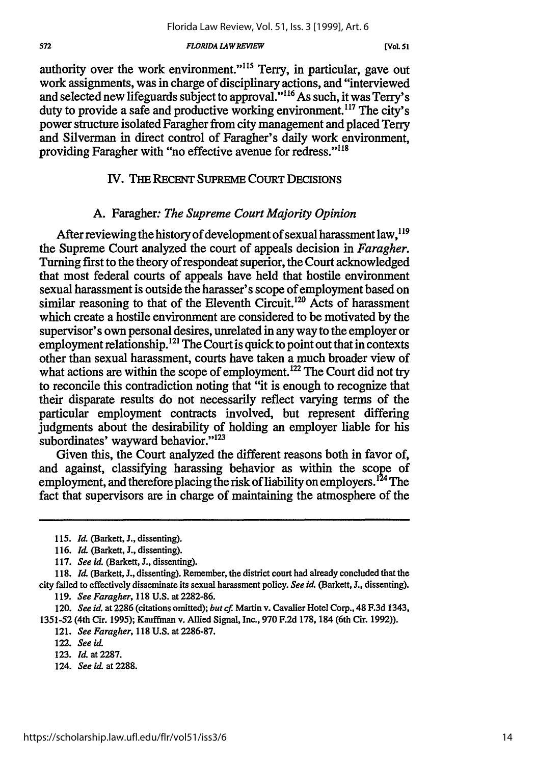#### *FLORIDA LAW REVIEW*

authority over the work environment."<sup>115</sup> Terry, in particular, gave out work assignments, was in charge of disciplinary actions, and "interviewed and selected new lifeguards subject to approval."<sup>116</sup> As such, it was Terry's duty to provide a safe and productive working environment.<sup>117</sup> The city's power structure isolated Faragher from city management and placed Terry and Silverman in direct control of Faragher's daily work environment, providing Faragher with "no effective avenue for redress."<sup>118</sup>

# IV. THE **RECENT** SUPREME COURT DECISIONS

# A. Faragher: *The Supreme Court Majority Opinion*

After reviewing the history of development of sexual harassment law, <sup>119</sup> the Supreme Court analyzed the court of appeals decision in *Faragher.* Turning first to the theory of respondeat superior, the Court acknowledged that most federal courts of appeals have held that hostile environment sexual harassment is outside the harasser's scope of employment based on similar reasoning to that of the Eleventh Circuit.<sup>120</sup> Acts of harassment which create a hostile environment are considered to be motivated by the supervisor's own personal desires, unrelated in any way to the employer or employment relationship.<sup>121</sup> The Court is quick to point out that in contexts other than sexual harassment, courts have taken a much broader view of what actions are within the scope of employment.<sup>122</sup> The Court did not try to reconcile this contradiction noting that "it is enough to recognize that their disparate results do not necessarily reflect varying terms of the particular employment contracts involved, but represent differing judgments about the desirability of holding an employer liable for his subordinates' wayward behavior."<sup>123</sup>

Given this, the Court analyzed the different reasons both in favor of, and against, classifying harassing behavior as within the scope of employment, and therefore placing the risk of liability on employers.<sup>124</sup> The fact that supervisors are in charge of maintaining the atmosphere of the

124. *See id.* at *2288.*

<sup>115.</sup> *Id.* (Barkett, J., dissenting).

<sup>116.</sup> *Id.* (Barkett, J., dissenting).

<sup>117.</sup> *See id.* (Barkett, L, dissenting).

<sup>118.</sup> Id. (Barkett, J., dissenting). Remember, the district court had already concluded that the city failed to effectively disseminate its sexual harassment policy. *See id.* (Barkett, J., dissenting).

<sup>119.</sup> *See Faragher,* 118 U.S. at 2282-86.

<sup>120.</sup> *See id.* at 2286 (citations omitted); *but* cf. Martin v. Cavalier Hotel Corp., 48 F.3d 1343, **1351-52** (4th Cir. 1995); Kauffman v. Allied Signal, Inc., 970 F.2d 178, 184 (6th Cir. 1992)).

<sup>121.</sup> *See Faragher,* 118 U.S. at 2286-87.

<sup>122.</sup> *See* id.

<sup>123.</sup> *Id.* at 2287.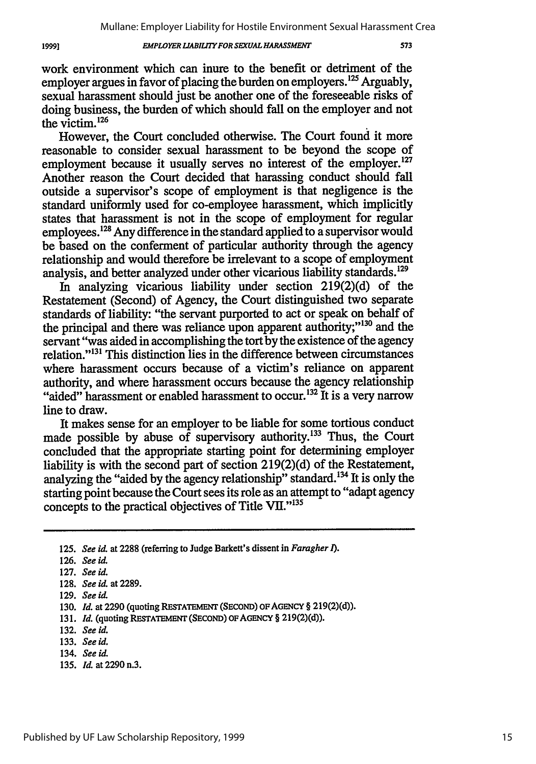#### *EMPLOYER LIABILITY FOR SEXUAL HARASSMENT*

work environment which can inure to the benefit or detriment of the employer argues in favor of placing the burden on employers.<sup>125</sup> Arguably, sexual harassment should just be another one of the foreseeable risks of doing business, the burden of which should fall on the employer and not the victim. <sup>126</sup>

However, the Court concluded otherwise. The Court found it more reasonable to consider sexual harassment to be beyond the scope of employment because it usually serves no interest of the employer.<sup>127</sup> Another reason the Court decided that harassing conduct should fall outside a supervisor's scope of employment is that negligence is the standard uniformly used for co-employee harassment, which implicitly states that harassment is not in the scope of employment for regular employees.<sup>128</sup> Any difference in the standard applied to a supervisor would be based on the conferment of particular authority through the agency relationship and would therefore be irrelevant to a scope of employment analysis, and better analyzed under other vicarious liability standards.<sup>129</sup>

In analyzing vicarious liability under section 219(2)(d) of the Restatement (Second) of Agency, the Court distinguished two separate standards of liability: "the servant purported to act or speak on behalf of the principal and there was reliance upon apparent authority;"<sup>130</sup> and the servant "was aided in accomplishing the tort by the existence of the agency relation."<sup>131</sup> This distinction lies in the difference between circumstances where harassment occurs because of a victim's reliance on apparent authority, and where harassment occurs because the agency relationship "aided" harassment or enabled harassment to occur.<sup>132</sup> It is a very narrow line to draw.

It makes sense for an employer to be liable for some tortious conduct made possible by abuse of supervisory authority.<sup>133</sup> Thus, the Court concluded that the appropriate starting point for determining employer liability is with the second part of section 219(2)(d) of the Restatement, analyzing the "aided by the agency relationship" standard.<sup>134</sup> It is only the starting point because the Court sees its role as an attempt to "adapt agency concepts to the practical objectives of Title VII."<sup>135</sup>

**135.** *Id.* at 2290 n.3.

19991

<sup>125.</sup> *See* id. at **2288** (referring to Judge Barkett's dissent in *Faragher 1).*

<sup>126.</sup> See id.

<sup>127.</sup> *See id.*

**<sup>128.</sup>** *See id.* at 2289.

**<sup>129.</sup>** *See id.*

<sup>130.</sup> *Id.* at 2290 (quoting **RESTATEMENT (SECOND) OF AGENCY** § **219(2)(d)).**

**<sup>131.</sup>** *Id.* (quoting RESTATEMENT **(SECOND) OFAGENCY** § **219(2)(d)).**

**<sup>132.</sup>** *See id.*

**<sup>133.</sup>** *See id.*

<sup>134.</sup> See id.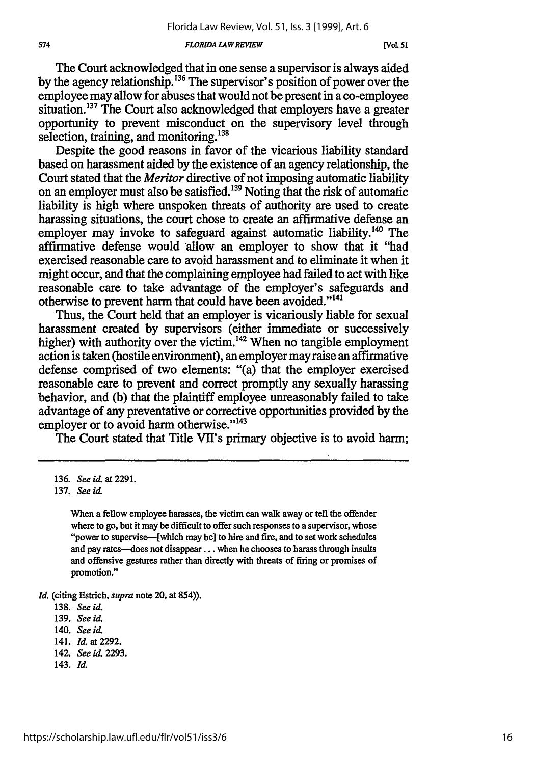#### *FLORIDA LAWREVIEW*

The Court acknowledged that in one sense a supervisor is always aided by the agency relationship.136 The supervisor's position of power over the employee may allow for abuses that would not be present in a co-employee situation.<sup>137</sup> The Court also acknowledged that employers have a greater opportunity to prevent misconduct on the supervisory level through selection, training, and monitoring. $138$ 

Despite the good reasons in favor of the vicarious liability standard based on harassment aided by the existence of an agency relationship, the Court stated that the *Meritor* directive of not imposing automatic liability on an employer must also be satisfied.139 Noting that the risk of automatic liability is high where unspoken threats of authority are used to create harassing situations, the court chose to create an affirmative defense an employer may invoke to safeguard against automatic liability.<sup>140</sup> The affirmative defense would allow an employer to show that it "had exercised reasonable care to avoid harassment and to eliminate it when it might occur, and that the complaining employee had failed to act with like reasonable care to take advantage of the employer's safeguards and otherwise to prevent harm that could have been avoided."<sup>141</sup>

Thus, the Court held that an employer is vicariously liable for sexual harassment created by supervisors (either immediate or successively higher) with authority over the victim.<sup>142</sup> When no tangible employment action is taken (hostile environment), an employer may raise an affirmative defense comprised of two elements: "(a) that the employer exercised reasonable care to prevent and correct promptly any sexually harassing behavior, and (b) that the plaintiff employee unreasonably failed to take advantage of any preventative or corrective opportunities provided by the employer or to avoid harm otherwise."<sup>143</sup>

The Court stated that Title VII's primary objective is to avoid harm;

When a fellow employee harasses, the victim can walk away or tell the offender where to go, but it may be difficult to offer such responses to a supervisor, whose "power to supervise--[which may be] to hire and fire, and to set work schedules and pay rates-does not disappear... when he chooses to harass through insults and offensive gestures rather than directly with threats of firing or promises of promotion."

*Id.* (citing Estrich, *supra* note 20, at 854)).

143. *Id*

<sup>136.</sup> *See id.* at 2291.

<sup>137.</sup> *See id.*

<sup>138.</sup> *See id.*

<sup>139.</sup> *See id*

<sup>140.</sup> *See* id.

<sup>141.</sup> *Id* at **2292.**

<sup>142.</sup> *See id* 2293.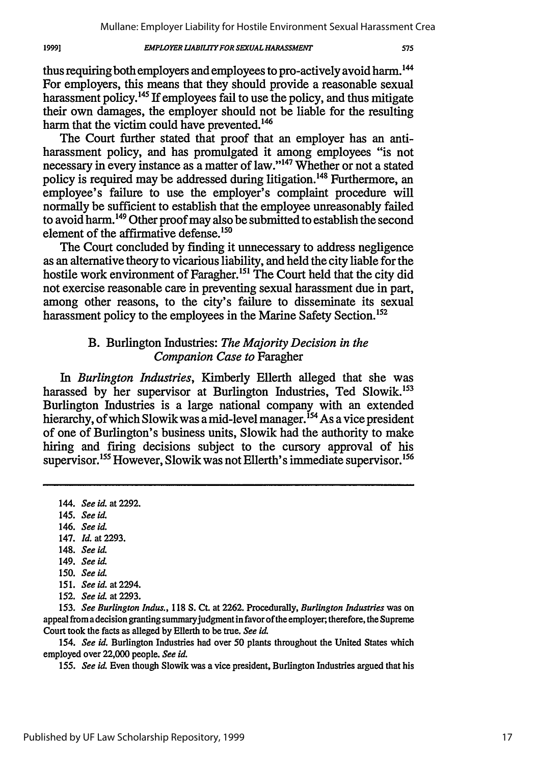#### **EMPLOYER LIABILITY FOR SEXUAL HARASSMENT**

thus requiring both employers and employees to pro-actively avoid harm.<sup>14</sup> For employers, this means that they should provide a reasonable sexual harassment policy.145 If employees fail to use the policy, and thus mitigate their own damages, the employer should not be liable for the resulting harm that the victim could have prevented.<sup>146</sup>

The Court further stated that proof that an employer has an antiharassment policy, and has promulgated it among employees "is not necessary in every instance as a matter of law."147 Whether or not a stated policy is required may be addressed during litigation.<sup>148</sup> Furthermore, an employee's failure to use the employer's complaint procedure will normally be sufficient to establish that the employee unreasonably failed to avoid harm. 149 Other proof may also be submitted to establish the second element of the affirmative defense.<sup>150</sup>

The Court concluded by finding it unnecessary to address negligence as an alternative theory to vicarious liability, and held the city liable for the hostile work environment of Faragher.<sup>151</sup> The Court held that the city did not exercise reasonable care in preventing sexual harassment due in part, among other reasons, to the city's failure to disseminate its sexual harassment policy to the employees in the Marine Safety Section.<sup>152</sup>

# B. Burlington Industries: *The Majority Decision in the Companion Case to* Faragher

*In Burlington Industries,* Kimberly Ellerth alleged that she was harassed by her supervisor at Burlington Industries, Ted Slowik.<sup>153</sup> Burlington Industries is a large national company with an extended hierarchy, of which Slowik was a mid-level manager.<sup>154</sup> As a vice president of one of Burlington's business units, Slowik had the authority to make hiring and firing decisions subject to the cursory approval of his supervisor.<sup>155</sup> However, Slowik was not Ellerth's immediate supervisor.<sup>156</sup>

- 146. *See id.*
- 147. *Id.* at 2293.
- 148. *See* id
- 149. *See id*
- 150. *See* id.
- 151. *See* id. at 2294.
- 152. *See* id. at 2293.

153. *See Burlington Indus.,* 118 **S.** Ct. at **2262.** Procedurally, *Burlington Industries* was on appeal from a decision granting summaryjudgment in favor of the employer, therefore, the Supreme Court took the facts as alleged by Ellerth to be true. *See* **id**

154. *See id.* Burlington Industries had over 50 plants throughout the United States which employed over 22,000 people. *See id.*

155. *See* **id** Even though Slowik was a vice president, Burlington Industries argued that his

19991

<sup>144.</sup> *See id.* at **2292.**

<sup>145.</sup> See id.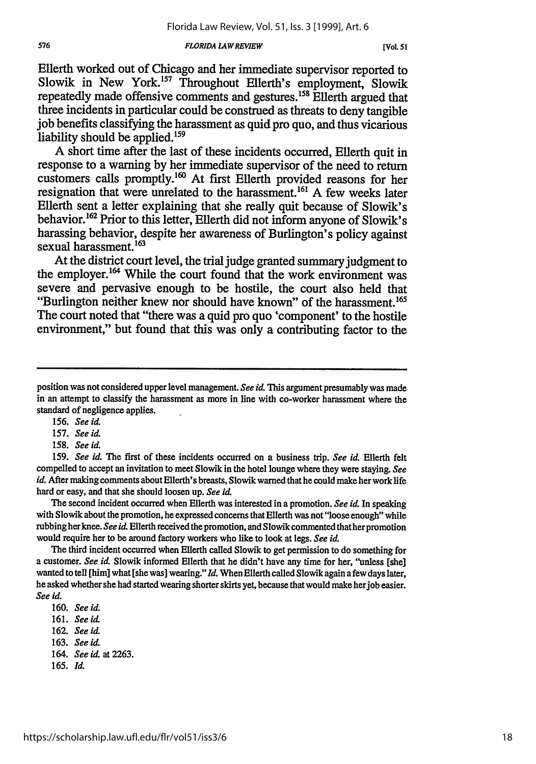#### *FLORIDA LAW REVIEW*

Ellerth worked out of Chicago and her immediate supervisor reported to Slowik in New York.<sup>157</sup> Throughout Ellerth's employment, Slowik repeatedly made offensive comments and gestures.<sup>158</sup> Ellerth argued that three incidents in particular could be construed as threats to deny tangible job benefits classifying the harassment as quid pro quo, and thus vicarious liability should be applied.<sup>159</sup>

A short time after the last of these incidents occurred, Ellerth quit in response to a warning by her immediate supervisor of the need to return customers calls promptly."6 At first Ellerth provided reasons for her resignation that were unrelated to the harassment.<sup>161</sup> A few weeks later Ellerth sent a letter explaining that she really quit because of Slowik's behavior.<sup>162</sup> Prior to this letter, Ellerth did not inform anyone of Slowik's harassing behavior, despite her awareness of Burlington's policy against sexual harassment.<sup>163</sup>

At the district court level, the trial judge granted summary judgment to the employer.<sup>164</sup> While the court found that the work environment was severe and pervasive enough to be hostile, the court also held that "Burlington neither knew nor should have known" of the harassment.<sup>165</sup> The court noted that "there was a quid pro quo 'component' to the hostile environment," but found that this was only a contributing factor to the

165. **Id.**

position was not considered upper level management. *See id.* This argument presumably was made in an attempt to classify the harassment as more in line with co-worker harassment where the standard of negligence applies.

<sup>156.</sup> *See id.*

<sup>157.</sup> *See id.*

**<sup>158.</sup>** *See id.*

<sup>159.</sup> *See id. The* first of these incidents occurred on a business trip. *See id.* Ellerth felt compelled to accept an invitation to meet Slowik in the hotel lounge where they were staying. *See id.* After making comments about Ellerth's breasts, Slowik warned that he could make her work life hard or easy, and that she should loosen up. *See id.*

The second incident occurred when Ellerth was interested in a promotion. *See id.* In speaking with Slowik about the promotion, he expressed concerns that Ellerth was not "loose enough" while rubbing herknee. *See id.* Ellerth received the promotion, and Slowik commented that herpromotion would require her to be around factory workers who like to look at legs. *See id.*

The third incident occurred when Ellerth called Slowik to get permission to do something for a customer. *See id.* Slowik informed Ellerth that he didn't have any time for her, "unless [she] wanted to tell [him] what [she was] wearing." Id. When Ellerth called Slowik again a few days later, he asked whether she had started wearing shorter skirts yet, because that would make herjob easier. *See id.*

<sup>160.</sup> *See id.*

<sup>161.</sup> *See id.*

<sup>162.</sup> *See id.*

<sup>163.</sup> *See id.*

<sup>164.</sup> *See id.* at 2263.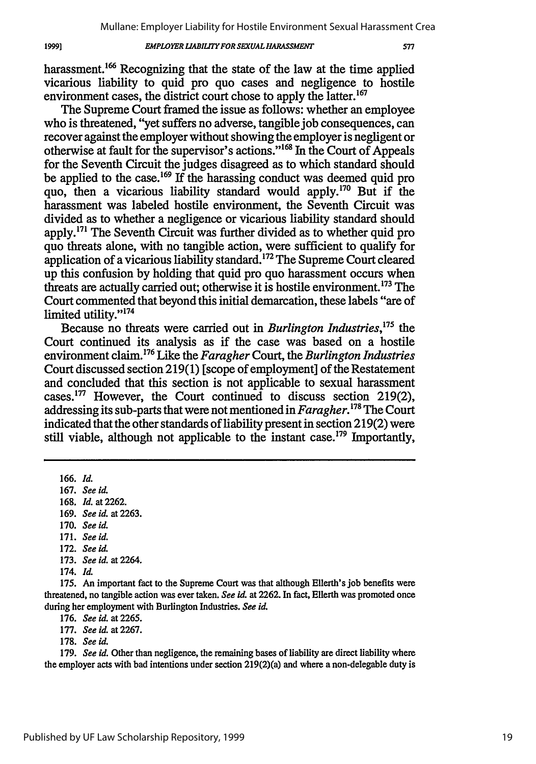#### *EMPLOYER LIABILITY FOR SEXUAL HARASSMENT*

577

harassment.<sup>166</sup> Recognizing that the state of the law at the time applied vicarious liability to quid pro quo cases and negligence to hostile environment cases, the district court chose to apply the latter.<sup>167</sup>

The Supreme Court framed the issue as follows: whether an employee who is threatened, "yet suffers no adverse, tangible job consequences, can recover against the employer without showing the employer is negligent or otherwise at fault for the supervisor's actions." '68 In the Court of Appeals for the Seventh Circuit the judges disagreed as to which standard should be applied to the case.<sup>169</sup> If the harassing conduct was deemed quid pro quo, then a vicarious liability standard would apply.<sup>170</sup> But if the harassment was labeled hostile environment, the Seventh Circuit was divided as to whether a negligence or vicarious liability standard should apply.<sup>171</sup> The Seventh Circuit was further divided as to whether quid pro quo threats alone, with no tangible action, were sufficient to qualify for application of a vicarious liability standard.<sup>172</sup> The Supreme Court cleared up this confusion by holding that quid pro quo harassment occurs when threats are actually carried out; otherwise it is hostile environment.<sup>173</sup> The Court commented that beyond this initial demarcation, these labels "are of limited utility."<sup>174</sup>

Because no threats were carried out in *Burlington Industries,175 the* Court continued its analysis as if the case was based on a hostile environment claim.176 Like the *Faragher* Court, the *Burlington Industries* Court discussed section 219(1) [scope of employment] of the Restatement and concluded that this section is not applicable to sexual harassment cases. 77 However, the Court continued to discuss section 219(2), addressing its sub-parts that were not mentioned in *Faragher*.<sup>178</sup> The Court indicated that the other standards of liability present in section 219(2) were still viable, although not applicable to the instant case.<sup>179</sup> Importantly,

166. *Id.*

- 167. *See id.*
- 168. *Id.* at 2262.
- 169. *See id.* at 2263.
- 170. *See id.*
- 171. *See id.*
- **172.** *See iL*
- 173. *See id.* at 2264.

**175.** An important fact to the Supreme Court was that although Ellerth's **job** benefits were threatened, no tangible action was ever taken. *See id.* at 2262. In fact, Ellerth was promoted once during her employment with Burlington Industries. *See id.*

176. *See id.* at 2265.

- 177. *See id.* at **2267.**
- 178. *See id.*

179. *See id.* Other than negligence, the remaining bases of liability are direct liability where the employer acts with bad intentions under section 219(2)(a) and where a non-delegable duty is

<sup>174.</sup> *Id.*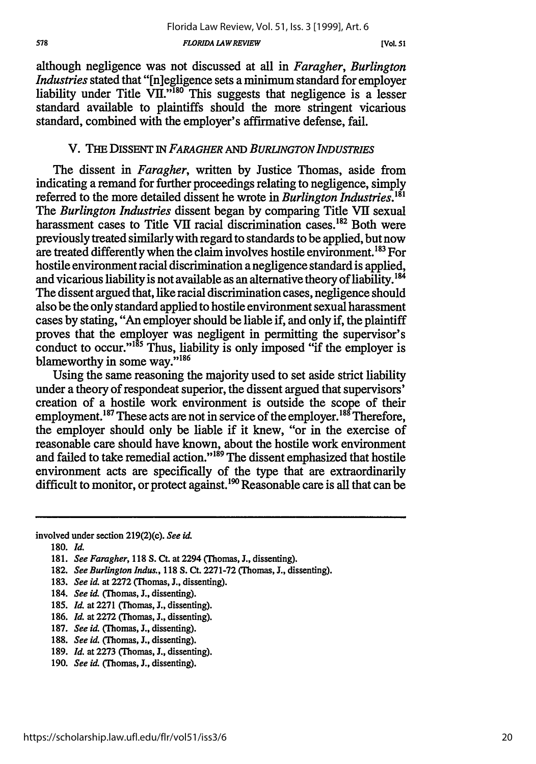although negligence was not discussed at all in *Faragher, Burlington Industries* stated that "[n]egligence sets a minimum standard for employer liability under Title  $\overline{VII}$ ."<sup>180</sup> This suggests that negligence is a lesser standard available to plaintiffs should the more stringent vicarious standard, combined with the employer's affirmative defense, fail.

# V. THE DISSENT IN *FARAGHER AND BURLINGTON INDUSTRIES*

The dissent in *Faragher,* written by Justice Thomas, aside from indicating a remand for further proceedings relating to negligence, simply referred to the more detailed dissent he wrote in *Burlington Industries."' The Burlington Industries* dissent began by comparing Title VII sexual harassment cases to Title VII racial discrimination cases.<sup>182</sup> Both were previously treated similarly with regard to standards to be applied, but now are treated differently when the claim involves hostile environment.<sup>183</sup> For hostile environment racial discrimination a negligence standard is applied, and vicarious liability is not available as an alternative theory of liability. **'** The dissent argued that, like racial discrimination cases, negligence should also be the only standard applied to hostile environment sexual harassment cases by stating, "An employer should be liable if, and only if, the plaintiff proves that the employer was negligent in permitting the supervisor's conduct to occur." $185$  Thus, liability is only imposed "if the employer is blameworthy in some way."<sup>186</sup>

Using the same reasoning the majority used to set aside strict liability under a theory of respondeat superior, the dissent argued that supervisors' creation of a hostile work environment is outside the scope of their employment.<sup>187</sup> These acts are not in service of the employer.<sup>188</sup> Therefore, the employer should only be liable if it knew, "or in the exercise of reasonable care should have known, about the hostile work environment and failed to take remedial action."<sup>189</sup> The dissent emphasized that hostile environment acts are specifically of the type that are extraordinarily difficult to monitor, or protect against.<sup>190</sup> Reasonable care is all that can be

involved under section 219(2)(c). *See id.*

**180.** *Id.*

- 183. *See id.* at 2272 (Thomas, J., dissenting).
- 184. *See id C'homas,* **J.,** dissenting).
- 185. Id. at 2271 (Thomas, J., dissenting).
- 186. *1d.* at **2272** (Thomas, J., dissenting).
- 187. *See id.* (Thomas, J., dissenting).
- 188. See id. (Thomas, J., dissenting).
- 189. *Id.* at **2273** (Thomas, **J.,** dissenting).
- 190. *See id.* (Thomas, J., dissenting).

**<sup>181.</sup>** *See Faragher,* **118 S.** Ct. at 2294 (Thomas, **J.,** dissenting).

<sup>182.</sup> *See Burlington Indus.,* 118 **S.** Ct. 2271-72 (Thomas, J., dissenting).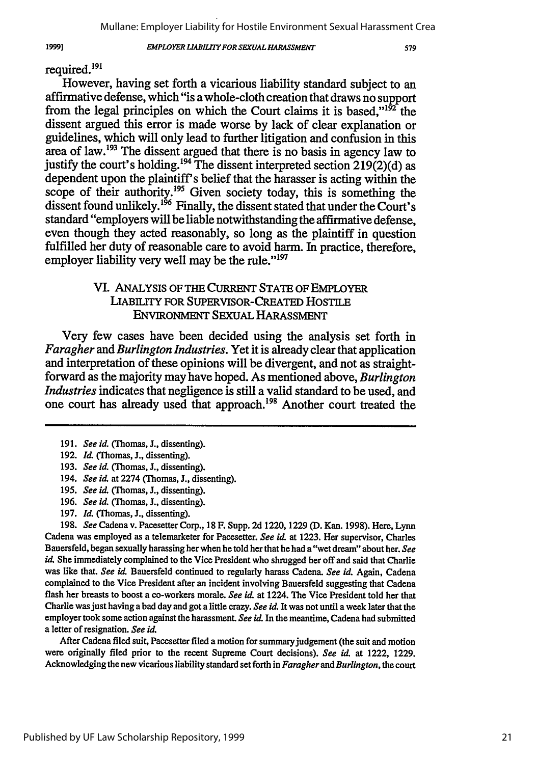*EMPLOYER LJABILfTY FOR SEXUAL HARASSMENT*

# required.<sup>191</sup>

19991

However, having set forth a vicarious liability standard subject to an affirmative defense, which "is a whole-cloth creation that draws no support from the legal principles on which the Court claims it is based." $1^{152}$  the dissent argued this error is made worse **by** lack of clear explanation or guidelines, which will only lead to further litigation and confusion in this area of law.<sup>193</sup> The dissent argued that there is no basis in agency law to justify the court's holding.194 The dissent interpreted section **219(2)(d)** as dependent upon the plaintiff's belief that the harasser is acting within the scope of their authority.<sup>195</sup> Given society today, this is something the dissent found unlikely.<sup>196</sup> Finally, the dissent stated that under the Court's standard "employers will be liable notwithstanding the affirmative defense, even though they acted reasonably, so long as the plaintiff in question fulfilled her duty of reasonable care to avoid harm. In practice, therefore, employer liability very well may be the **rule."197**

# VI. ANALYSIS OF THE CURRENT **STATE** OF **EMPLOYER** LiABILrY FOR SUPERVISOR-CREATED **HosTILE** ENViRONMENT SEXUAL HARASSMENT

Very few cases have been decided using the analysis set forth in *Faragher and Burlington Industries.* Yet it is already clear that application and interpretation of these opinions will be divergent, and not as straightforward as the majority may have hoped. As mentioned above, *Burlington Industries* indicates that negligence is still a valid standard to be used, and one court has already used that approach.<sup>198</sup> Another court treated the

- **191.** *See id.* (Thomas, **J.,** dissenting).
- **192.** *IL* (Thomas, **J.,** dissenting).
- **193.** *See id.* (Thomas, **J.,** dissenting).
- 194. *See id.* at 2274 ('Thomas, **.,** dissenting).
- **195.** *See id.* (Thomas, **J.,** dissenting).
- **196.** *See id.* (Thomas, **J.,** dissenting).
- **197.** *Id.* (Thomas, **J.,** dissenting).

**198.** *See* Cadena v. Pacesetter Corp., **18** F. Supp. **2d 1220, 1229 (D.** Kan. **1998).** Here, Lynn Cadena was employed as a telemarketer for Pacesetter. *See id.* at **1223.** Her supervisor, Charles Bauersfeld, began sexually harassing her when he told her that he had a "wet dream" about her. *See id.* **She** immediately complained to the Vice President who shrugged her off and said that Charlie was like that. *See id.* Bauersfeld continued to regularly harass Cadena. *See id.* Again, Cadena complained to the Vice President after an incident involving Bauersfeld suggesting that Cadena flash her breasts to boost a co-workers morale. *See id.* at 1224. The Vice President told her that Charlie was just having a bad day and got a little crazy. *See id.* It was not until a week later that the employer took some action against the harassment. *See id.* In the meantime, Cadena had submitted a letter of resignation. *See id.*

After Cadena filed suit, Pacesetter filed a motion for summary judgement (the suit and motion were originally filed prior to the recent Supreme Court decisions). *See id.* at 1222, **1229.** Acknowledging the new vicarious liability standard set forth in *Faragher and Burlington,* the court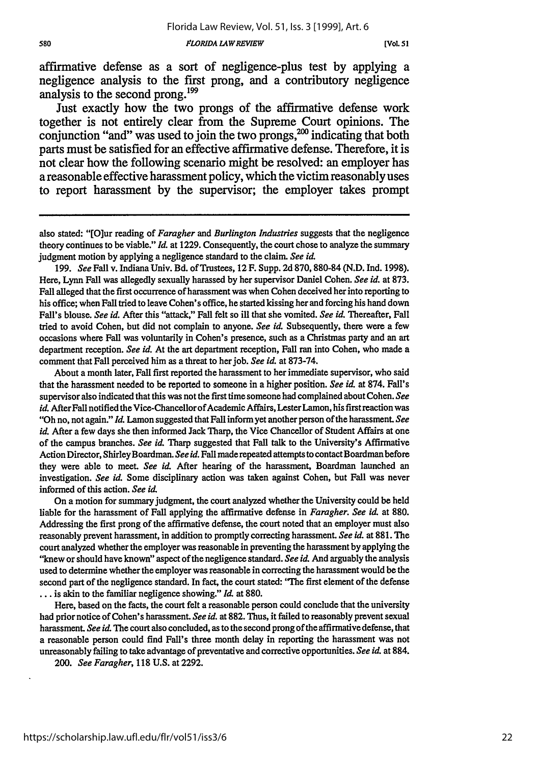affirmative defense as a sort of negligence-plus test by applying a negligence analysis to the first prong, and a contributory negligence analysis to the second prong.<sup>199</sup>

Just exactly how the two prongs of the affirmative defense work together is not entirely clear from the Supreme Court opinions. The conjunction "and" was used to join the two prongs, $^{200}$  indicating that both parts must be satisfied for an effective affirmative defense. Therefore, it is not clear how the following scenario might be resolved: an employer has a reasonable effective harassment policy, which the victim reasonably uses to report harassment by the supervisor; the employer takes prompt

199. *See* Fall v. Indiana Univ. Bd. of Trustees, 12 F. Supp. 2d 870,880-84 (N.D. Ind. 1998). Here, Lynn Fall was allegedly sexually harassed by her supervisor Daniel Cohen. *See id.* at 873. Fall alleged that the first occurrence of harassment was when Cohen deceived her into reporting to his office; when Fall tried to leave Cohen's office, he started kissing her and forcing his hand down Fall's blouse. *See id.* After this "attack," Fall felt so ill that she vomited. *See id.* Thereafter, Fall tried to avoid Cohen, but did not complain to anyone. *See id.* Subsequently, there were a few occasions where Fall was voluntarily in Cohen's presence, such as a Christmas party and an art department reception. *See id.* At the art department reception, Fall ran into Cohen, who made a comment that Fall perceived him as a threat to her job. *See id.* at 873-74.

About a month later, Fall first reported the harassment to her immediate supervisor, who said that the harassment needed to be reported to someone in a higher position. *See id.* at 874. Fall's supervisor also indicated that this was not the first time someone had complained about Cohen. *See id.* After Fall notified the Vice-Chancellor of Academic Affairs, Lester Lamon, his first reaction was "Oh no, not again." *Id.* Lamon suggested that Fall inform yet another person of the harassment. *See id.* After a few days she then informed Jack Tharp, the Vice Chancellor of Student Affairs at one of the campus branches. *See* **id** Tharp suggested that Fall talk to the University's Affirmative Action Director, Shirley Boardman. See id. Fall made repeated attempts to contact Boardman before they were able to meet. *See id.* After hearing of the harassment, Boardman launched an investigation. *See id.* Some disciplinary action was taken against Cohen, but Fall was never informed of this action. *See* id.

On a motion for summary judgment, the court analyzed whether the University could be held liable for the harassment of Fall applying the affirmative defense in *Faragher. See* **id.** at 880. Addressing the first prong of the affirmative defense, the court noted that an employer must also reasonably prevent harassment, in addition to promptly correcting harassment. *See id.* at 881. The court analyzed whether the employer was reasonable in preventing the harassment by applying the "knew or should have known" aspect of the negligence standard. *See* **id** And arguably the analysis used to determine whether the employer was reasonable in correcting the harassment would be the second part of the negligence standard. In fact, the court stated: 'The first element of the defense ... is akin to the familiar negligence showing." *Id* at 880.

Here, based on the facts, the court felt a reasonable person could conclude that the university had prior notice of Cohen's harassment. *See id.* at 882. Thus, it failed to reasonably prevent sexual harassment. *See id.* The court also concluded, as to the second prong of the affirmative defense, that a reasonable person could find Fall's three month delay in reporting the harassment was not unreasonably failing to take advantage of preventative and corrective opportunities. *See id.* at 884.

*200. See Faragher,* 118 U.S. at 2292.

also stated: "[O]ur reading of *Faragher and Burlington Industries* suggests that the negligence theory continues to be viable." *Id.* at **1229.** Consequently, the court chose to analyze the summary judgment motion by applying a negligence standard to the claim. *See id.*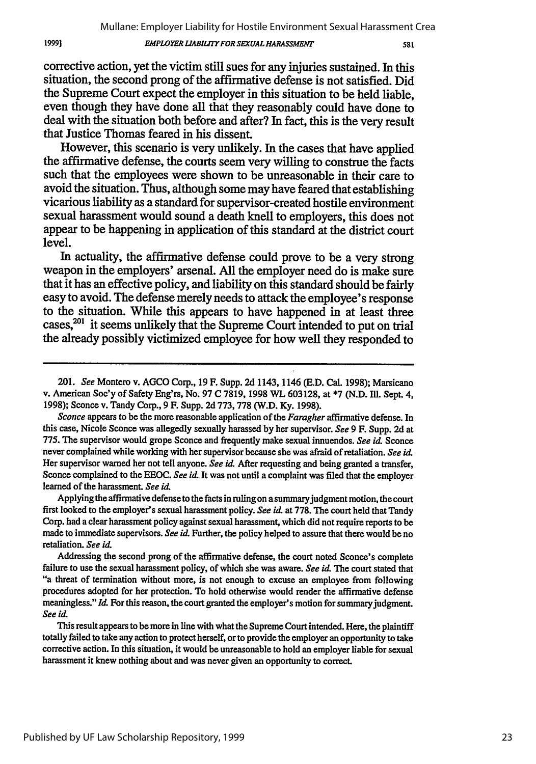#### *EMPLOYER LIABILITY FOR SEXUAL HARASSMENT*

1999]

581

corrective action, yet the victim still sues for any injuries sustained. In this situation, the second prong of the affirmative defense is not satisfied. Did the Supreme Court expect the employer in this situation to be held liable, even though they have done all that they reasonably could have done to deal with the situation both before and after? In fact, this is the very result that Justice Thomas feared in his dissent.

However, this scenario is very unlikely. In the cases that have applied the affirmative defense, the courts seem very willing to construe the facts such that the employees were shown to be unreasonable in their care to avoid the situation. Thus, although some may have feared that establishing vicarious liability as a standard for supervisor-created hostile environment sexual harassment would sound a death knell to employers, this does not appear to be happening in application of this standard at the district court level.

In actuality, the affirmative defense could prove to be a very strong weapon in the employers' arsenal. **All** the employer need do is make sure that it has an effective policy, and liability on this standard should be fairly easy to avoid. The defense merely needs to attack the employee's response to the situation. While this appears to have happened in at least three cases,<sup>201</sup> it seems unlikely that the Supreme Court intended to put on trial the already possibly victimized employee for how well they responded to

*Sconce* appears to be the more reasonable application of the *Faragher* affirmative defense. In this case, Nicole Sconce was allegedly sexually harassed by her supervisor. *See* 9 F. Supp. 2d at 775. **The** supervisor would grope Sconce and frequently make sexual innuendos. *See id.* Sconce never complained while working with her supervisor because she was afraid of retaliation. *See id.* Her supervisor warned her not tell anyone. *See id.* After requesting and being granted a transfer, Sconce complained to the EEOC. *See id.* It was not until a complaint was filed that the employer learned of the harassment. *See id.*

Applying the affirmative defense to the facts in ruling on a summary judgment motion, the court first looked to the employer's sexual harassment policy. *See id* at 778. The court held that Tandy Corp. had a clear harassment policy against sexual harassment, which did not require reports to be made to immediate supervisors. *See id.* Further, the policy helped to assure that there would be no retaliation. *See id.*

Addressing the second prong of the affirmative defense, the court noted Sconce's complete failure to use the sexual harassment policy, of which she was aware. *See id.* The court stated that "a threat of termination without more, is not enough to excuse an employee from following procedures adopted for her protection. To hold otherwise would render the affirmative defense meaningless." *Id.* For this reason, the court granted the employer's motion for summary judgment. *See id.*

This result appears to be more in line with what the Supreme Court intended. Here, the plaintiff totally failed to take any action to protect herself, or to provide the employer an opportunity to take corrective action. In this situation, it would be unreasonable to hold an employer liable for sexual harassment it knew nothing about and was never given an opportunity to correct.

Published by UF Law Scholarship Repository, 1999

<sup>201.</sup> *See* Montero v. AGCO Corp., 19 F. Supp. **2d** 1143, 1146 (E.D. Cal. 1998); Marsicano v. American Soc'y of Safety Eng'rs, No. 97 **C** 7819, 1998 WL 603128, at \*7 (N.D. I11. Sept. 4, 1998); Sconce v. Tandy Corp., 9 F. Supp. **2d** 773, 778 (W.D. **Ky.** 1998).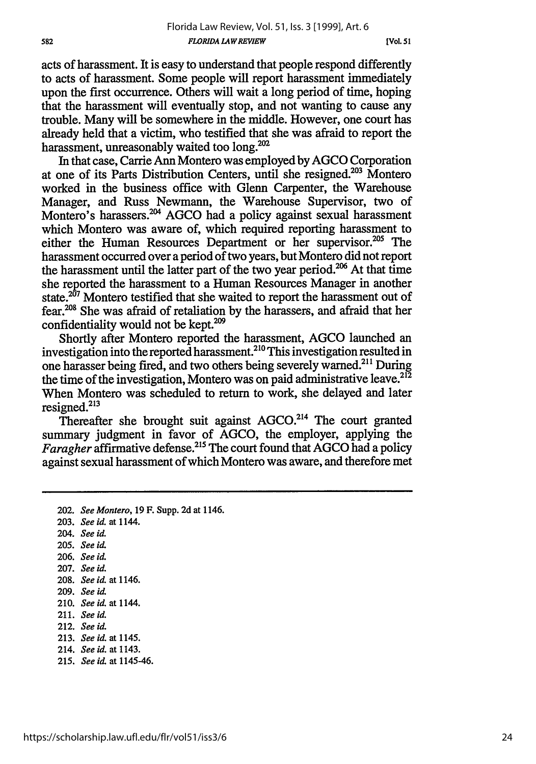acts of harassment. It is easy to understand that people respond differently to acts of harassment. Some people will report harassment immediately upon the first occurrence. Others will wait a long period of time, hoping that the harassment will eventually stop, and not wanting to cause any trouble. Many will be somewhere in the middle. However, one court has already held that a victim, who testified that she was afraid to report the harassment, unreasonably waited too long.<sup>202</sup>

In that case, Carrie Ann Montero was employed by AGCO Corporation at one of its Parts Distribution Centers, until she resigned.203 Montero worked in the business office with Glenn Carpenter, the Warehouse Manager, and Russ Newmann, the Warehouse Supervisor, two of Montero's harassers.<sup>204</sup> AGCO had a policy against sexual harassment which Montero was aware of, which required reporting harassment to either the Human Resources Department or her supervisor.<sup>205</sup> The harassment occurred over a period of two years, but Montero did not report the harassment until the latter part of the two year period.<sup>206</sup> At that time she reported the harassment to a Human Resources Manager in another state.<sup>207</sup> Montero testified that she waited to report the harassment out of fear.<sup>208</sup> She was afraid of retaliation by the harassers, and afraid that her confidentiality would not be kept.<sup>209</sup>

Shortly after Montero reported the harassment, AGCO launched an investigation into the reported harassment.<sup>210</sup> This investigation resulted in one harasser being fired, and two others being severely warned.21' During the time of the investigation, Montero was on paid administrative leave.<sup>212</sup> When Montero was scheduled to return to work, she delayed and later resigned.<sup>213</sup>

Thereafter she brought suit against  $AGCO<sup>214</sup>$  The court granted summary judgment in favor of AGCO, the employer, applying the *Faragher* affirmative defense.<sup>215</sup> The court found that AGCO had a policy against sexual harassment of which Montero was aware, and therefore met

- 202. *See Montero,* 19 F. Supp. 2d at 1146. 203. *See id.* at 1144. 204. *See id.* 205. *See id.* 206. *See id.* 207. *See id.* 208. *See id. at* 1146. 209. *See id.* 210. *See id. at 1144.* 211. *See id.* 212. *See id.*
- 213. *Seeid.* at 1145.
- 214. *See id.* at 1143.
- 215. *See id.* at 1145-46.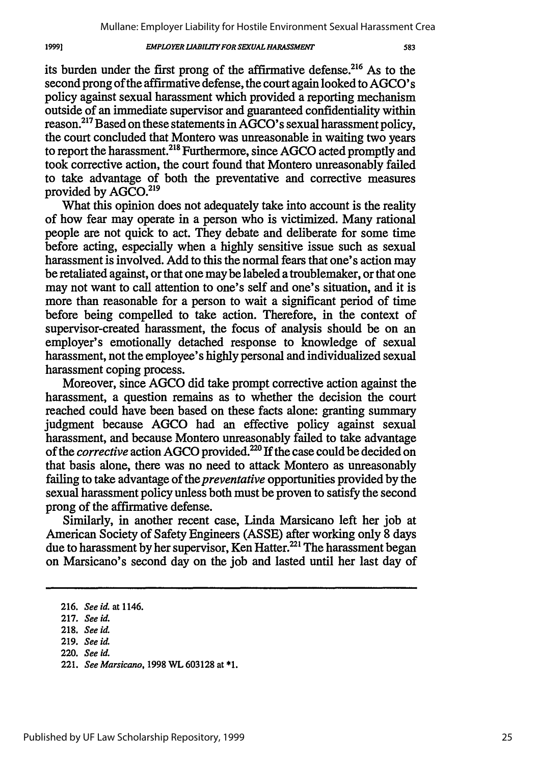### **EMPLOYER LIABILITY FOR SEXUAL HARASSMENT**

its burden under the first prong of the affirmative defense.<sup>216</sup> As to the second prong of the affirmative defense, the court again looked to AGCO's policy against sexual harassment which provided a reporting mechanism outside of an immediate supervisor and guaranteed confidentiality within reason.217 Based on these statements in AGCO's sexual harassment policy, the court concluded that Montero was unreasonable in waiting two years to report the harassment.<sup>218</sup> Furthermore, since AGCO acted promptly and took corrective action, the court found that Montero unreasonably failed to take advantage of both the preventative and corrective measures provided by AGCO.<sup>219</sup>

What this opinion does not adequately take into account is the reality of how fear may operate in a person who is victimized. Many rational people are not quick to act. They debate and deliberate for some time before acting, especially when a highly sensitive issue such as sexual harassment is involved. Add to this the normal fears that one's action may be retaliated against, or that one may be labeled a troublemaker, or that one may not want to call attention to one's self and one's situation, and it is more than reasonable for a person to wait a significant period of time before being compelled to take action. Therefore, in the context of supervisor-created harassment, the focus of analysis should be on an employer's emotionally detached response to knowledge of sexual harassment, not the employee's highly personal and individualized sexual harassment coping process.

Moreover, since AGCO did take prompt corrective action against the harassment, a question remains as to whether the decision the court reached could have been based on these facts alone: granting summary judgment because AGCO had an effective policy against sexual harassment, and because Montero unreasonably failed to take advantage of the *corrective* action AGCO provided.<sup>220</sup> If the case could be decided on that basis alone, there was no need to attack Montero as unreasonably failing to take advantage of *the preventative* opportunities provided by the sexual harassment policy unless both must be proven to satisfy the second prong of the affirmative defense.

Similarly, in another recent case, Linda Marsicano left her job at American Society of Safety Engineers (ASSE) after working only 8 days due to harassment by her supervisor, Ken Hatter.<sup>221</sup> The harassment began on Marsicano's second day on the job and lasted until her last day of

19991

**<sup>216.</sup>** *See id.* at 1146.

**<sup>217.</sup>** *See id.*

**<sup>218.</sup>** *See id.*

**<sup>219.</sup>** See id.

<sup>220.</sup> *See id.*

<sup>221.</sup> *See Marsicano,* **1998** WL **603128** at **\*1.**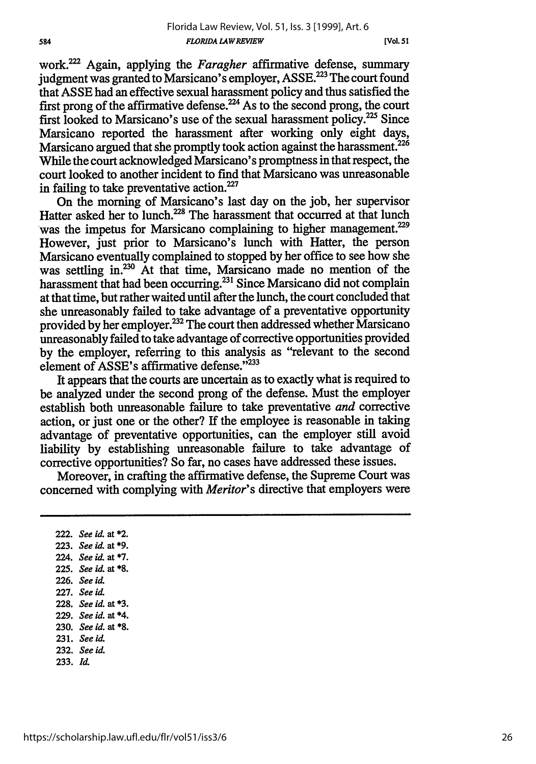work? Again, applying the *Faragher* affirmative defense, summary judgment was granted to Marsicano's employer, ASSE.<sup>223</sup> The court found that ASSE had an effective sexual harassment policy and thus satisfied the first prong of the affirmative defense.<sup>224</sup> As to the second prong, the court first looked to Marsicano's use of the sexual harassment policy.<sup>225</sup> Since Marsicano reported the harassment after working only eight days, Marsicano argued that she promptly took action against the harassment.<sup>226</sup> While the court acknowledged Marsicano's promptness in that respect, the court looked to another incident to find that Marsicano was unreasonable in failing to take preventative action. $227$ 

On the morning of Marsicano's last day on the job, her supervisor Hatter asked her to lunch.<sup>228</sup> The harassment that occurred at that lunch was the impetus for Marsicano complaining to higher management.<sup>229</sup> However, just prior to Marsicano's lunch with Hatter, the person Marsicano eventually complained to stopped by her office to see how she was settling in.<sup>230</sup> At that time, Marsicano made no mention of the harassment that had been occurring.<sup>231</sup> Since Marsicano did not complain at that time, but rather waited until after the lunch, the court concluded that she unreasonably failed to take advantage of a preventative opportunity provided by her employer.<sup>232</sup> The court then addressed whether Marsicano unreasonably failed to take advantage of corrective opportunities provided by the employer, referring to this analysis as "relevant to the second element of ASSE's affirmative defense."<sup>233</sup>

It appears that the courts are uncertain as to exactly what is required to be analyzed under the second prong of the defense. Must the employer establish both unreasonable failure to take preventative *and* corrective action, or just one or the other? If the employee is reasonable in taking advantage of preventative opportunities, can the employer still avoid liability by establishing unreasonable failure to take advantage of corrective opportunities? So far, no cases have addressed these issues.

Moreover, in crafting the affirmative defense, the Supreme Court was concerned with complying with *Meritor's* directive that employers were

**222.** *See id.* at \*2. **223.** *See* **id.** at **\*9.** 224. *See id.* at **\*7. 225.** *See id.* at **\*8. 226.** *See* id. **227.** *See id.* **228.** *See id.* at **\*3. 229.** *See id.* at \*4. **230.** *See id.* at **\*8. 231.** *See id.* **232.** *See id.* **233.** *Id.*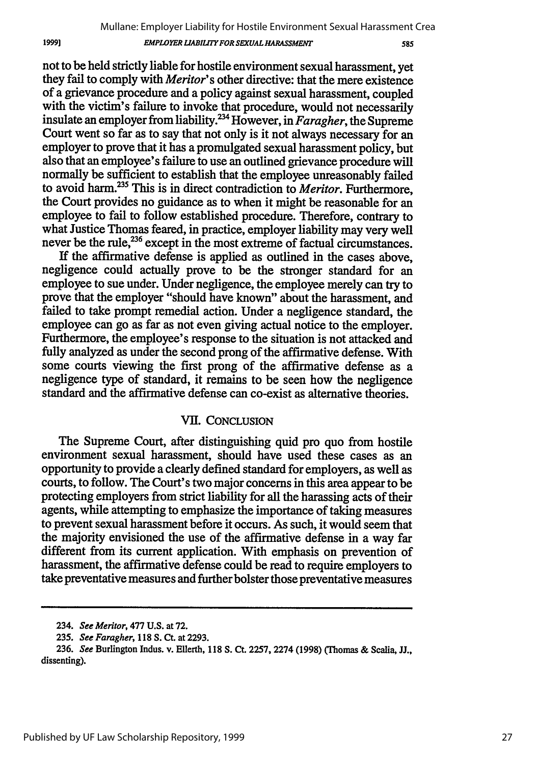585

not to be held strictly liable for hostile environment sexual harassment, yet they fail to comply with *Meritor's* other directive: that the mere existence of a grievance procedure and a policy against sexual harassment, coupled with the victim's failure to invoke that procedure, would not necessarily insulate an employer from liability.<sup>234</sup> However, in *Faragher*, the Supreme Court went so far as to say that not only is it not always necessary for an employer to prove that it has a promulgated sexual harassment policy, but also that an employee's failure to use an outlined grievance procedure will normally be sufficient to establish that the employee unreasonably failed to avoid harm.<sup>235</sup> This is in direct contradiction to *Meritor*. Furthermore, the Court provides no guidance as to when it might be reasonable for an employee to fail to follow established procedure. Therefore, contrary to what Justice Thomas feared, in practice, employer liability may very well never be the rule,<sup>236</sup> except in the most extreme of factual circumstances.

If the affirmative defense is applied as outlined in the cases above, negligence could actually prove to be the stronger standard for an employee to sue under. Under negligence, the employee merely can try to prove that the employer "should have known" about the harassment, and failed to take prompt remedial action. Under a negligence standard, the employee can go as far as not even giving actual notice to the employer. Furthermore, the employee's response to the situation is not attacked and fully analyzed as under the second prong of the affirmative defense. With some courts viewing the first prong of the affirmative defense as a negligence type of standard, it remains to be seen how the negligence standard and the affirmative defense can co-exist as alternative theories.

# VII. **CONCLUSION**

The Supreme Court, after distinguishing quid pro quo from hostile environment sexual harassment, should have used these cases as an opportunity to provide a clearly defined standard for employers, as well as courts, to follow. The Court's two major concerns in this area appear to be protecting employers from strict liability for all the harassing acts of their agents, while attempting to emphasize the importance of taking measures to prevent sexual harassment before it occurs. As such, it would seem that the majority envisioned the use of the affirmative defense in a way far different from its current application. With emphasis on prevention of harassment, the affirmative defense could be read to require employers to take preventative measures and further bolster those preventative measures

19991

<sup>234.</sup> *See Meritor,* 477 **U.S.** at **72.**

**<sup>235.</sup>** *See Faragher,* **118 S. Ct.** at **2293.**

**<sup>236.</sup>** *See* Burlington Indus. v. Ellerth, **118 S. Ct. 2257, 2274 (1998) (Thomas &** Scalia, **JJ.,** dissenting).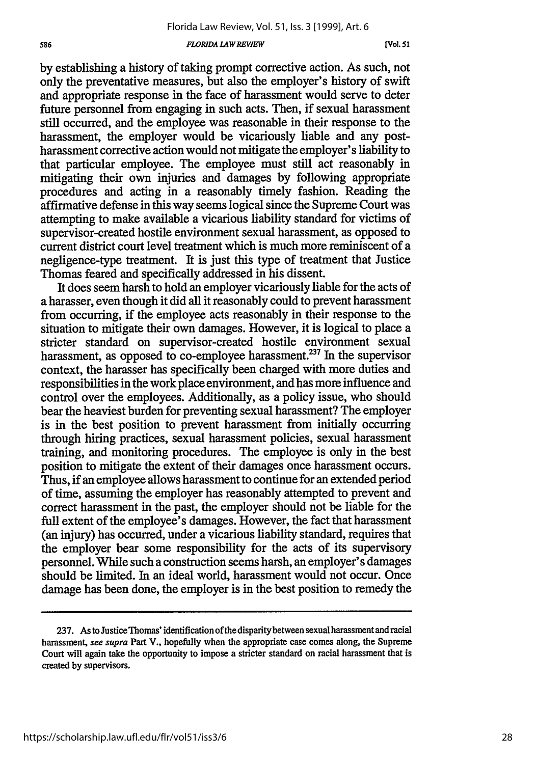#### *FLORIDA LAWREVIEW*

[Vol. 51

by establishing a history of taking prompt corrective action. As such, not only the preventative measures, but also the employer's history of swift and appropriate response in the face of harassment would serve to deter future personnel from engaging in such acts. Then, if sexual harassment still occurred, and the employee was reasonable in their response to the harassment, the employer would be vicariously liable and any postharassment corrective action would not mitigate the employer's liability to that particular employee. The employee must still act reasonably in mitigating their own injuries and damages **by** following appropriate procedures and acting in a reasonably timely fashion. Reading the affirmative defense in this way seems logical since the Supreme Court was attempting to make available a vicarious liability standard for victims of supervisor-created hostile environment sexual harassment, as opposed to current district court level treatment which is much more reminiscent of a negligence-type treatment. It is just this type of treatment that Justice Thomas feared and specifically addressed in his dissent.

It does seem harsh to hold an employer vicariously liable for the acts of a harasser, even though it did all it reasonably could to prevent harassment from occurring, if the employee acts reasonably in their response to the situation to mitigate their own damages. However, it is logical to place a stricter standard on supervisor-created hostile environment sexual harassment, as opposed to co-employee harassment.<sup>237</sup> In the supervisor context, the harasser has specifically been charged with more duties and responsibilities in the work place environment, and has more influence and control over the employees. Additionally, as a policy issue, who should bear the heaviest burden for preventing sexual harassment? The employer is in the best position to prevent harassment from initially occurring through hiring practices, sexual harassment policies, sexual harassment training, and monitoring procedures. The employee is only in the best position to mitigate the extent of their damages once harassment occurs. Thus, if an employee allows harassment to continue for an extended period of time, assuming the employer has reasonably attempted to prevent and correct harassment in the past, the employer should not be liable for the full extent of the employee's damages. However, the fact that harassment (an injury) has occurred, under a vicarious liability standard, requires that the employer bear some responsibility for the acts of its supervisory personnel. While such a construction seems harsh, an employer's damages should be limited. In an ideal world, harassment would not occur. Once damage has been done, the employer is in the best position to remedy the

**<sup>237.</sup>** As to JusticeThomas' identification of the disparitybetween sexual harassment and racial harassment, *see supra* Part V., hopefully when the appropriate case comes along, the Supreme Court will again take the opportunity to impose a stricter standard on racial harassment that is created by supervisors.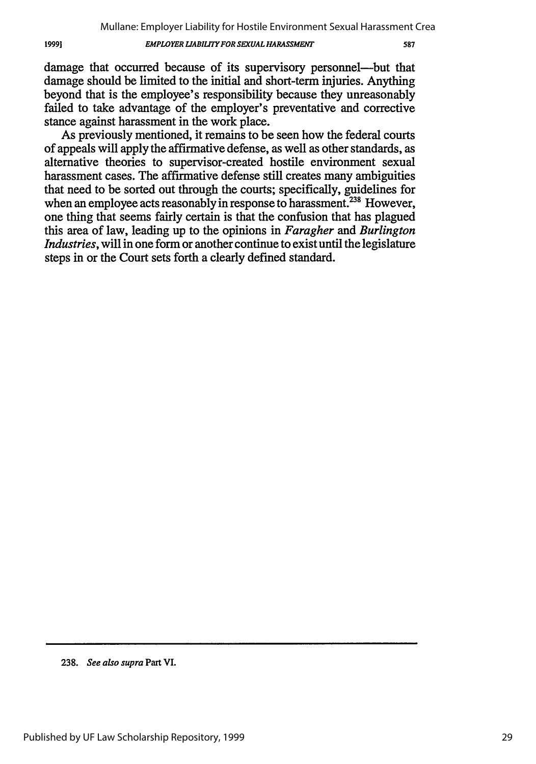#### *EMPLOYER LIABILYFOR SEXUAL HARASSMENT*

587

damage that occurred because of its supervisory personnel—but that damage should be limited to the initial and short-term injuries. Anything beyond that is the employee's responsibility because they unreasonably failed to take advantage of the employer's preventative and corrective stance against harassment in the work place.

As previously mentioned, it remains to be seen how the federal courts of appeals will apply the affirmative defense, as well as other standards, as alternative theories to supervisor-created hostile environment sexual harassment cases. The affirmative defense still creates many ambiguities that need to be sorted out through the courts; specifically, guidelines for when an employee acts reasonably in response to harassment.<sup>238</sup> However, one thing that seems fairly certain is that the confusion that has plagued this area of law, leading up to the opinions in *Faragher and Burlington Industries,* will in one form or another continue to exist until the legislature steps in or the Court sets forth a clearly defined standard.

**<sup>238.</sup>** *See also supra* Part VI.